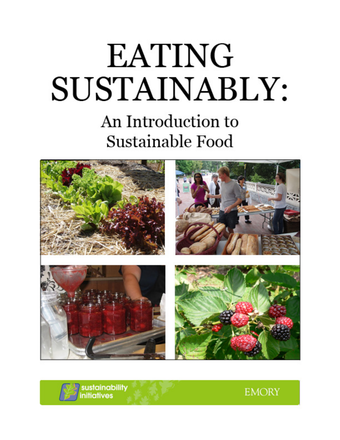# **EATING** SUSTAINABLY: An Introduction to



sustainability<br>initiatives

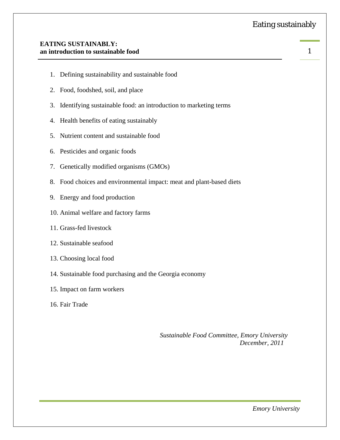#### **EATING SUSTAINABLY: an introduction to sustainable food**

- 1. Defining sustainability and sustainable food
- 2. Food, foodshed, soil, and place
- 3. Identifying sustainable food: an introduction to marketing terms
- 4. Health benefits of eating sustainably
- 5. Nutrient content and sustainable food
- 6. Pesticides and organic foods
- 7. Genetically modified organisms (GMOs)
- 8. Food choices and environmental impact: meat and plant-based diets
- 9. Energy and food production
- 10. Animal welfare and factory farms
- 11. Grass-fed livestock
- 12. Sustainable seafood
- 13. Choosing local food
- 14. Sustainable food purchasing and the Georgia economy
- 15. Impact on farm workers
- 16. Fair Trade

*Sustainable Food Committee, Emory University December, 2011*

1 

 *Emory University*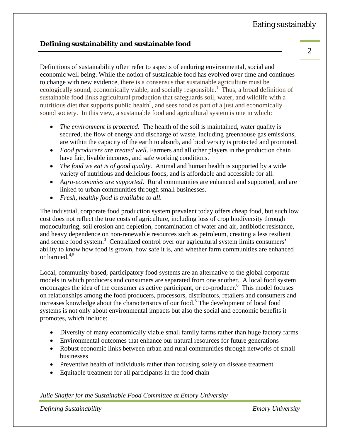# **Defining sustainability and sustainable food**

Definitions of sustainability often refer to aspects of enduring environmental, social and economic well being. While the notion of sustainable food has evolved over time and continues to change with new evidence, there is a consensus that sustainable agriculture must be ecologically sound, economically viable, and socially responsible.<sup>1</sup> Thus, a broad definition of sustainable food links agricultural production that safeguards soil, water, and wildlife with a nutritious diet that supports public health<sup>2</sup>, and sees food as part of a just and economically sound society. In this view, a sustainable food and agricultural system is one in which:

- *The environment is protected*. The health of the soil is maintained, water quality is secured, the flow of energy and discharge of waste, including greenhouse gas emissions, are within the capacity of the earth to absorb, and biodiversity is protected and promoted.
- *Food producers are treated well*. Farmers and all other players in the production chain have fair, livable incomes, and safe working conditions.
- *The food we eat is of good quality*. Animal and human health is supported by a wide variety of nutritious and delicious foods, and is affordable and accessible for all.
- *Agro-economies are supported*. Rural communities are enhanced and supported, and are linked to urban communities through small businesses.
- *Fresh, healthy food is available to all*.

The industrial, corporate food production system prevalent today offers cheap food, but such low cost does not reflect the true costs of agriculture, including loss of crop biodiversity through monoculturing, soil erosion and depletion, contamination of water and air, antibiotic resistance, and heavy dependence on non-renewable resources such as petroleum, creating a less resilient and secure food system.<sup>3</sup> Centralized control over our agricultural system limits consumers' ability to know how food is grown, how safe it is, and whether farm communities are enhanced or harmed.<sup>4,5</sup>

Local, community-based, participatory food systems are an alternative to the global corporate models in which producers and consumers are separated from one another. A local food system encourages the idea of the consumer as active participant, or co-producer.<sup>6</sup> This model focuses on relationships among the food producers, processors, distributors, retailers and consumers and increases knowledge about the characteristics of our food.<sup>3</sup> The development of local food systems is not only about environmental impacts but also the social and economic benefits it promotes, which include:

- Diversity of many economically viable small family farms rather than huge factory farms
- Environmental outcomes that enhance our natural resources for future generations
- Robust economic links between urban and rural communities through networks of small businesses
- Preventive health of individuals rather than focusing solely on disease treatment
- Equitable treatment for all participants in the food chain

*Julie Shaffer for the Sustainable Food Committee at Emory University* 

*Defining Sustainability Emory University*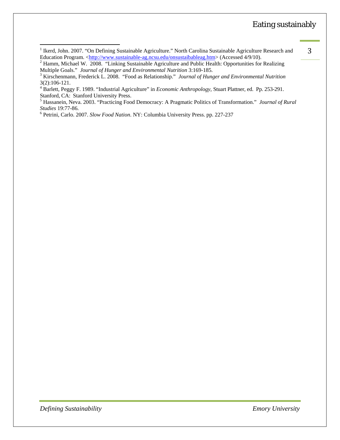<sup>1&</sup>lt;br>
<sup>1</sup> Ikerd, John. 2007. "On Defining Sustainable Agriculture." North Carolina Sustainable Agriculture Research and 3 Education Program. <<u>http://www.sustainable-ag.ncsu.edu/onsustaibableag.htm</u>> (Accessed 4/9/10).<br><sup>2</sup> Hamm, Michael W. 2008. "Linking Sustainable Agriculture and Public Health: Opportunities for Realizing

Multiple Goals." *Journal of Hunger and Environmental Nutrition* 3:169-185. 3

<sup>&</sup>lt;sup>3</sup> Kirschenmann, Frederick L. 2008. "Food as Relationship." *Journal of Hunger and Environmental Nutrition* 3(2):106-121.

<sup>4</sup> Barlett, Peggy F. 1989. "Industrial Agriculture" in *Economic Anthropology*, Stuart Plattner, ed. Pp. 253-291.

Stanford, CA: Stanford University Press. 5 Hassanein, Neva. 2003. "Practicing Food Democracy: A Pragmatic Politics of Transformation." *Journal of Rural Studies* 19:77-86. 6 Petrini, Carlo. 2007. *Slow Food Nation*. NY: Columbia University Press. pp. 227-237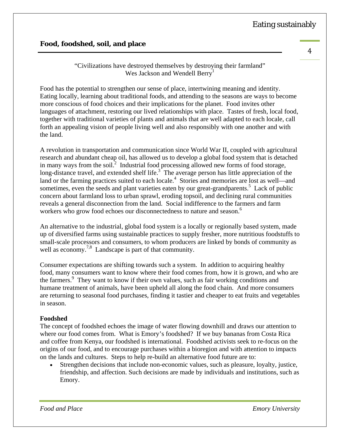# **Food, foodshed, soil, and place**

"Civilizations have destroyed themselves by destroying their farmland" Wes Jackson and Wendell Berry<sup>1</sup>

Food has the potential to strengthen our sense of place, intertwining meaning and identity. Eating locally, learning about traditional foods, and attending to the seasons are ways to become more conscious of food choices and their implications for the planet. Food invites other languages of attachment, restoring our lived relationships with place. Tastes of fresh, local food, together with traditional varieties of plants and animals that are well adapted to each locale, call forth an appealing vision of people living well and also responsibly with one another and with the land.

A revolution in transportation and communication since World War II, coupled with agricultural research and abundant cheap oil, has allowed us to develop a global food system that is detached in many ways from the soil.<sup>2</sup> Industrial food processing allowed new forms of food storage, long-distance travel, and extended shelf life. $3^{\circ}$  The average person has little appreciation of the land or the farming practices suited to each locale.<sup>4</sup> Stories and memories are lost as well—and sometimes, even the seeds and plant varieties eaten by our great-grandparents.<sup>5</sup> Lack of public concern about farmland loss to urban sprawl, eroding topsoil, and declining rural communities reveals a general disconnection from the land. Social indifference to the farmers and farm workers who grow food echoes our disconnectedness to nature and season.<sup>6</sup>

An alternative to the industrial, global food system is a locally or regionally based system, made up of diversified farms using sustainable practices to supply fresher, more nutritious foodstuffs to small-scale processors and consumers, to whom producers are linked by bonds of community as well as economy.<sup>7,8</sup> Landscape is part of that community.

Consumer expectations are shifting towards such a system. In addition to acquiring healthy food, many consumers want to know where their food comes from, how it is grown, and who are the farmers.<sup>9</sup> They want to know if their own values, such as fair working conditions and humane treatment of animals, have been upheld all along the food chain. And more consumers are returning to seasonal food purchases, finding it tastier and cheaper to eat fruits and vegetables in season.

# **Foodshed**

The concept of foodshed echoes the image of water flowing downhill and draws our attention to where our food comes from. What is Emory's foodshed? If we buy bananas from Costa Rica and coffee from Kenya, our foodshed is international. Foodshed activists seek to re-focus on the origins of our food, and to encourage purchases within a bioregion and with attention to impacts on the lands and cultures. Steps to help re-build an alternative food future are to:

 Strengthen decisions that include non-economic values, such as pleasure, loyalty, justice, friendship, and affection. Such decisions are made by individuals and institutions, such as Emory.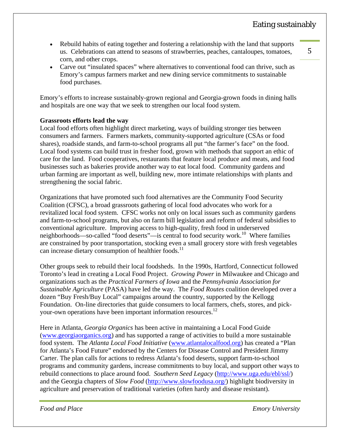- Rebuild habits of eating together and fostering a relationship with the land that supports us. Celebrations can attend to seasons of strawberries, peaches, cantaloupes, tomatoes, corn, and other crops.
- Carve out "insulated spaces" where alternatives to conventional food can thrive, such as Emory's campus farmers market and new dining service commitments to sustainable food purchases.

Emory's efforts to increase sustainably-grown regional and Georgia-grown foods in dining halls and hospitals are one way that we seek to strengthen our local food system.

#### **Grassroots efforts lead the way**

Local food efforts often highlight direct marketing, ways of building stronger ties between consumers and farmers. Farmers markets, community-supported agriculture (CSAs or food shares), roadside stands, and farm-to-school programs all put "the farmer's face" on the food. Local food systems can build trust in fresher food, grown with methods that support an ethic of care for the land. Food cooperatives, restaurants that feature local produce and meats, and food businesses such as bakeries provide another way to eat local food. Community gardens and urban farming are important as well, building new, more intimate relationships with plants and strengthening the social fabric.

Organizations that have promoted such food alternatives are the Community Food Security Coalition (CFSC), a broad grassroots gathering of local food advocates who work for a revitalized local food system. CFSC works not only on local issues such as community gardens and farm-to-school programs, but also on farm bill legislation and reform of federal subsidies to conventional agriculture. Improving access to high-quality, fresh food in underserved neighborhoods—so-called "food deserts"—is central to food security work.<sup>10</sup> Where families are constrained by poor transportation, stocking even a small grocery store with fresh vegetables can increase dietary consumption of healthier foods. $^{11}$ 

Other groups seek to rebuild their local foodsheds. In the 1990s, Hartford, Connecticut followed Toronto's lead in creating a Local Food Project. *Growing Power* in Milwaukee and Chicago and organizations such as the *Practical Farmers of Iowa* and the *Pennsylvania Association for Sustainable Agriculture* (PASA) have led the way. The *Food Routes* coalition developed over a dozen "Buy Fresh/Buy Local" campaigns around the country, supported by the Kellogg Foundation. On-line directories that guide consumers to local farmers, chefs, stores, and pickyour-own operations have been important information resources.<sup>12</sup>

Here in Atlanta, *Georgia Organics* has been active in maintaining a Local Food Guide (www.georgiaorganics.org) and has supported a range of activities to build a more sustainable food system. The *Atlanta Local Food Initiative* (www.atlantalocalfood.org) has created a "Plan for Atlanta's Food Future" endorsed by the Centers for Disease Control and President Jimmy Carter. The plan calls for actions to redress Atlanta's food deserts, support farm-to-school programs and community gardens, increase commitments to buy local, and support other ways to rebuild connections to place around food. *Southern Seed Legacy* (http://www.uga.edu/ebl/ssl/) and the Georgia chapters of *Slow Food* (http://www.slowfoodusa.org/) highlight biodiversity in agriculture and preservation of traditional varieties (often hardy and disease resistant).

*Food and Place Emory University*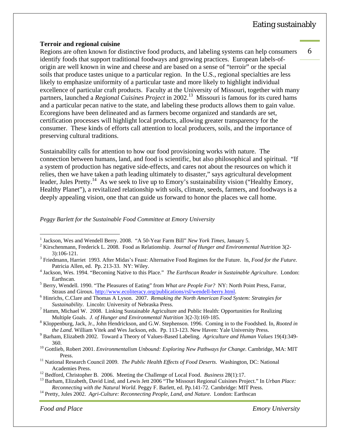6 

#### **Terroir and regional cuisine**

Regions are often known for distinctive food products, and labeling systems can help consumers identify foods that support traditional foodways and growing practices. European labels-oforigin are well known in wine and cheese and are based on a sense of "terroir" or the special soils that produce tastes unique to a particular region. In the U.S., regional specialties are less likely to emphasize uniformity of a particular taste and more likely to highlight individual excellence of particular craft products. Faculty at the University of Missouri, together with many partners, launched a *Regional Cuisines Project* in 2002.<sup>13</sup> Missouri is famous for its cured hams and a particular pecan native to the state, and labeling these products allows them to gain value. Ecoregions have been delineated and as farmers become organized and standards are set, certification processes will highlight local products, allowing greater transparency for the consumer. These kinds of efforts call attention to local producers, soils, and the importance of preserving cultural traditions.

Sustainability calls for attention to how our food provisioning works with nature. The connection between humans, land, and food is scientific, but also philosophical and spiritual. "If a system of production has negative side-effects, and cares not about the resources on which it relies, then we have taken a path leading ultimately to disaster," says agricultural development leader, Jules Pretty.<sup>14</sup> As we seek to live up to Emory's sustainability vision ("Healthy Emory, Healthy Planet"), a revitalized relationship with soils, climate, seeds, farmers, and foodways is a deeply appealing vision, one that can guide us forward to honor the places we call home.

*Peggy Barlett for the Sustainable Food Committee at Emory University* 

- <sup>1</sup> Jackson, Wes and Wendell Berry. 2008. "A 50-Year Farm Bill" *New York Times*, January 5.<br><sup>2</sup> Kirschanmann, Frederick J. 2008. Food as Belgtianship, *Jaumal of Hungar and Eminopurea*
- <sup>2</sup> Kirschenmann, Frederick L. 2008. Food as Relationship. *Journal of Hunger and Environmental Nutrition* 3(2-
- 3):106-121. 3 Friedmann, Harriet 1993. After Midas's Feast: Alternative Food Regimes for the Future. In, *Food for the Future*. Patricia Allen, ed. Pp. 213-33. NY: Wiley. 4
- <sup>4</sup> Jackson, Wes. 1994. "Becoming Native to this Place." *The Earthscan Reader in Sustainable Agriculture*. London:
- Earthscan. 5 Berry, Wendell. 1990. "The Pleasures of Eating" from *What are People For?* NY: North Point Press, Farrar, Straus and Giroux. http://www.ecoliteracy.org/publications/rsl/wendell-berry.html.
- Hinrichs, C.Clare and Thomas A Lyson. 2007. *Remaking the North American Food System: Strategies for Sustainability*. Lincoln: University of Nebraska Press. 7
- <sup>7</sup> Hamm, Michael W. 2008. Linking Sustainable Agriculture and Public Health: Opportunities for Realizing Multiple Goals. *J. of Hunger and Environmental Nutrition* 3(2-3):169-185. 8
- <sup>8</sup> Kloppenburg, Jack, Jr., John Hendrickson, and G.W. Stephenson. 1996. Coming in to the Foodshed. In, *Rooted in the Land*. William Vitek and Wes Jackson, eds. Pp. 113-123. New Haven: Yale University Press. 9

 $\overline{a}$ 

**Food and Place Emory University** 

Barham, Elizabeth 2002. Toward a Theory of Values-Based Labeling. *Agriculture and Human Values* 19(4):349- 360. 10 Gottlieb, Robert 2001. *Environmentalism Unbound: Exploring New Pathways for Change*. Cambridge, MA: MIT

Press. 11 National Research Council 2009. *The Public Health Effects of Food Deserts*. Washington, DC: National

Academies Press.<br><sup>12</sup> Bedford, Christopher B. 2006. Meeting the Challenge of Local Food. *Business* 28(1):17.<br><sup>13</sup> Barham, Elizabeth, David Lind, and Lewis Jett 2006 "The Missouri Regional Cuisines Project." In *Urban Plac* 

*Reconnecting with the Natural World*. Peggy F. Barlett, ed. Pp.141-72. Cambridge: MIT Press. 14 Pretty, Jules 2002. *Agri-Culture: Reconnecting People, Land, and Nature*. London: Earthscan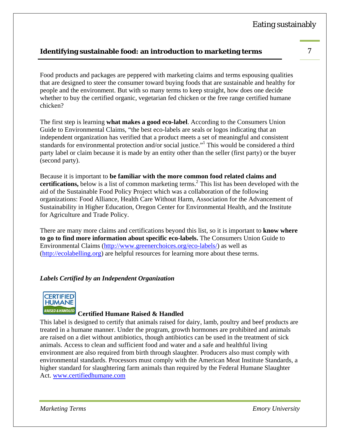# **Identifying sustainable food: an introduction to marketing terms** 7

Food products and packages are peppered with marketing claims and terms espousing qualities that are designed to steer the consumer toward buying foods that are sustainable and healthy for people and the environment. But with so many terms to keep straight, how does one decide whether to buy the certified organic, vegetarian fed chicken or the free range certified humane chicken?

The first step is learning **what makes a good eco-label**. According to the Consumers Union Guide to Environmental Claims, "the best eco-labels are seals or logos indicating that an independent organization has verified that a product meets a set of meaningful and consistent standards for environmental protection and/or social justice."<sup>1</sup> This would be considered a third party label or claim because it is made by an entity other than the seller (first party) or the buyer (second party).

Because it is important to **be familiar with the more common food related claims and**  certifications, below is a list of common marketing terms.<sup>2</sup> This list has been developed with the aid of the Sustainable Food Policy Project which was a collaboration of the following organizations: Food Alliance, Health Care Without Harm, Association for the Advancement of Sustainability in Higher Education, Oregon Center for Environmental Health, and the Institute for Agriculture and Trade Policy.

There are many more claims and certifications beyond this list, so it is important to **know where to go to find more information about specific eco-labels.** The Consumers Union Guide to Environmental Claims (http://www.greenerchoices.org/eco-labels/) as well as (http://ecolabelling.org) are helpful resources for learning more about these terms.

#### *Labels Certified by an Independent Organization*



#### **Certified Humane Raised & Handled**

This label is designed to certify that animals raised for dairy, lamb, poultry and beef products are treated in a humane manner. Under the program, growth hormones are prohibited and animals are raised on a diet without antibiotics, though antibiotics can be used in the treatment of sick animals. Access to clean and sufficient food and water and a safe and healthful living environment are also required from birth through slaughter. Producers also must comply with environmental standards. Processors must comply with the American Meat Institute Standards, a higher standard for slaughtering farm animals than required by the Federal Humane Slaughter Act. www.certifiedhumane.com

*Marketing Terms Emory University*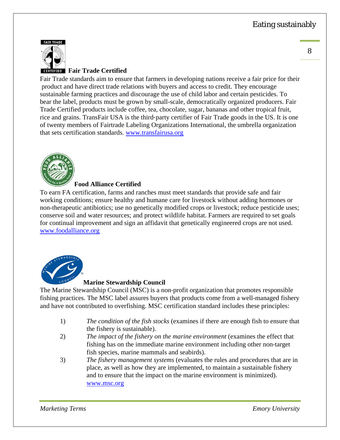



# **Fair Trade Certified**

Fair Trade standards aim to ensure that farmers in developing nations receive a fair price for their product and have direct trade relations with buyers and access to credit. They encourage sustainable farming practices and discourage the use of child labor and certain pesticides. To bear the label, products must be grown by small-scale, democratically organized producers. Fair Trade Certified products include coffee, tea, chocolate, sugar, bananas and other tropical fruit, rice and grains. TransFair USA is the third‐party certifier of Fair Trade goods in the US. It is one of twenty members of Fairtrade Labeling Organizations International, the umbrella organization that sets certification standards. www.transfairusa.org



#### **Food Alliance Certified**

To earn FA certification, farms and ranches must meet standards that provide safe and fair working conditions; ensure healthy and humane care for livestock without adding hormones or non-therapeutic antibiotics; use no genetically modified crops or livestock; reduce pesticide uses; conserve soil and water resources; and protect wildlife habitat. Farmers are required to set goals for continual improvement and sign an affidavit that genetically engineered crops are not used. www.foodalliance.org



# **Marine Stewardship Council**

The Marine Stewardship Council (MSC) is a non-profit organization that promotes responsible fishing practices. The MSC label assures buyers that products come from a well-managed fishery and have not contributed to overfishing. MSC certification standard includes these principles:

- 1) *The condition of the fish stocks* (examines if there are enough fish to ensure that the fishery is sustainable).
- 2) *The impact of the fishery on the marine environment* (examines the effect that fishing has on the immediate marine environment including other non‐target fish species, marine mammals and seabirds).
- 3) *The fishery management systems* (evaluates the rules and procedures that are in place, as well as how they are implemented, to maintain a sustainable fishery and to ensure that the impact on the marine environment is minimized). www.msc.org

*Marketing Terms Emory University*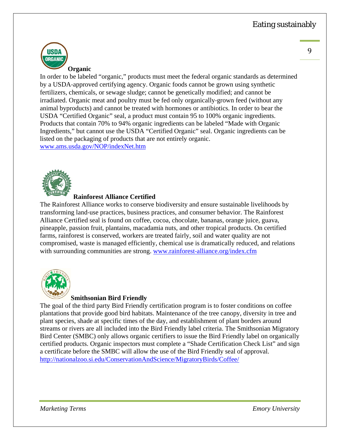

In order to be labeled "organic," products must meet the federal organic standards as determined by a USDA‐approved certifying agency. Organic foods cannot be grown using synthetic fertilizers, chemicals, or sewage sludge; cannot be genetically modified; and cannot be irradiated. Organic meat and poultry must be fed only organically‐grown feed (without any animal byproducts) and cannot be treated with hormones or antibiotics. In order to bear the USDA "Certified Organic" seal, a product must contain 95 to 100% organic ingredients. Products that contain 70% to 94% organic ingredients can be labeled "Made with Organic Ingredients," but cannot use the USDA "Certified Organic" seal. Organic ingredients can be listed on the packaging of products that are not entirely organic. www.ams.usda.gov/NOP/indexNet.htm



#### **Rainforest Alliance Certified**

The Rainforest Alliance works to conserve biodiversity and ensure sustainable livelihoods by transforming land‐use practices, business practices, and consumer behavior. The Rainforest Alliance Certified seal is found on coffee, cocoa, chocolate, bananas, orange juice, guava, pineapple, passion fruit, plantains, macadamia nuts, and other tropical products. On certified farms, rainforest is conserved, workers are treated fairly, soil and water quality are not compromised, waste is managed efficiently, chemical use is dramatically reduced, and relations with surrounding communities are strong. www.rainforest-alliance.org/index.cfm



#### **Smithsonian Bird Friendly**

The goal of the third party Bird Friendly certification program is to foster conditions on coffee plantations that provide good bird habitats. Maintenance of the tree canopy, diversity in tree and plant species, shade at specific times of the day, and establishment of plant borders around streams or rivers are all included into the Bird Friendly label criteria. The Smithsonian Migratory Bird Center (SMBC) only allows organic certifiers to issue the Bird Friendly label on organically certified products. Organic inspectors must complete a "Shade Certification Check List" and sign a certificate before the SMBC will allow the use of the Bird Friendly seal of approval. http://nationalzoo.si.edu/ConservationAndScience/MigratoryBirds/Coffee/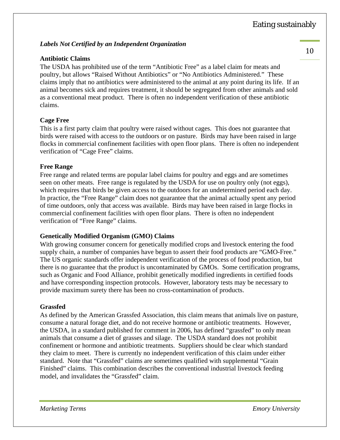#### *Labels Not Certified by an Independent Organization*

#### **Antibiotic Claims**

The USDA has prohibited use of the term "Antibiotic Free" as a label claim for meats and poultry, but allows "Raised Without Antibiotics" or "No Antibiotics Administered." These claims imply that no antibiotics were administered to the animal at any point during its life. If an animal becomes sick and requires treatment, it should be segregated from other animals and sold as a conventional meat product. There is often no independent verification of these antibiotic claims.

#### **Cage Free**

This is a first party claim that poultry were raised without cages. This does not guarantee that birds were raised with access to the outdoors or on pasture. Birds may have been raised in large flocks in commercial confinement facilities with open floor plans. There is often no independent verification of "Cage Free" claims.

#### **Free Range**

Free range and related terms are popular label claims for poultry and eggs and are sometimes seen on other meats. Free range is regulated by the USDA for use on poultry only (not eggs), which requires that birds be given access to the outdoors for an undetermined period each day. In practice, the "Free Range" claim does not guarantee that the animal actually spent any period of time outdoors, only that access was available. Birds may have been raised in large flocks in commercial confinement facilities with open floor plans. There is often no independent verification of "Free Range" claims.

#### **Genetically Modified Organism (GMO) Claims**

With growing consumer concern for genetically modified crops and livestock entering the food supply chain, a number of companies have begun to assert their food products are "GMO-Free." The US organic standards offer independent verification of the process of food production, but there is no guarantee that the product is uncontaminated by GMOs. Some certification programs, such as Organic and Food Alliance, prohibit genetically modified ingredients in certified foods and have corresponding inspection protocols. However, laboratory tests may be necessary to provide maximum surety there has been no cross-contamination of products.

#### **Grassfed**

As defined by the American Grassfed Association, this claim means that animals live on pasture, consume a natural forage diet, and do not receive hormone or antibiotic treatments. However, the USDA, in a standard published for comment in 2006, has defined "grassfed" to only mean animals that consume a diet of grasses and silage. The USDA standard does not prohibit confinement or hormone and antibiotic treatments. Suppliers should be clear which standard they claim to meet. There is currently no independent verification of this claim under either standard. Note that "Grassfed" claims are sometimes qualified with supplemental "Grain Finished" claims. This combination describes the conventional industrial livestock feeding model, and invalidates the "Grassfed" claim.

*Marketing Terms Emory University*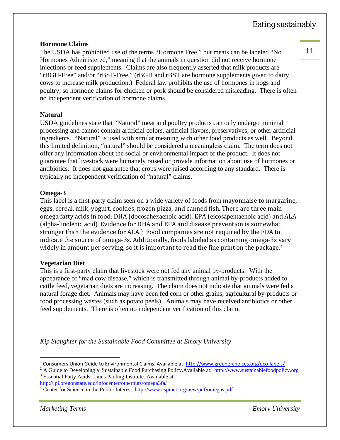#### **Hormone Claims**

The USDA has prohibited use of the terms "Hormone Free," but meats can be labeled "No Hormones Administered," meaning that the animals in question did not receive hormone injections or feed supplements. Claims are also frequently asserted that milk products are "rBGH-Free" and/or "rBST-Free." (rBGH and rBST are hormone supplements given to dairy cows to increase milk production.) Federal law prohibits the use of hormones in hogs and poultry, so hormone claims for chicken or pork should be considered misleading. There is often no independent verification of hormone claims.

#### **Natural**

USDA guidelines state that "Natural" meat and poultry products can only undergo minimal processing and cannot contain artificial colors, artificial flavors, preservatives, or other artificial ingredients. "Natural" is used with similar meaning with other food products as well. Beyond this limited definition, "natural" should be considered a meaningless claim. The term does not offer any information about the social or environmental impact of the product. It does not guarantee that livestock were humanely raised or provide information about use of hormones or antibiotics. It does not guarantee that crops were raised according to any standard. There is typically no independent verification of "natural" claims.

#### **Omega-3**

This label is a first-party claim seen on a wide variety of foods from mayonnaise to margarine, eggs, cereal, milk, yogurt, cookies, frozen pizza, and canned fish. There are three main omega fatty acids in food: DHA (docosahexaenoic acid), EPA (eicosapentaenoic acid) and ALA (alpha-linolenic acid). Evidence for DHA and EPA and disease prevention is somewhat stronger than the evidence for ALA.<sup>3</sup> Food companies are not required by the FDA to indicate the source of omega-3s. Additionally, foods labeled as containing omega-3s vary widely in amount per serving, so it is important to read the fine print on the package. $4$ 

#### **Vegetarian Diet**

This is a first-party claim that livestock were not fed any animal by-products. With the appearance of "mad cow disease," which is transmitted through animal by-products added to cattle feed, vegetarian diets are increasing. The claim does not indicate that animals were fed a natural forage diet. Animals may have been fed corn or other grains, agricultural by-products or food processing wastes (such as potato peels). Animals may have received antibiotics or other feed supplements. There is often no independent verification of this claim.

*Kip Slaughter for the Sustainable Food Committee at Emory University* 

 $\overline{a}$ 

<sup>&</sup>lt;sup>1</sup> Consumers Union Guide to Environmental Claims. Available at: http://www.greenerchoices.org/eco-labels/

<sup>&</sup>lt;sup>2</sup> A Guide to Developing a Sustainable Food Purchasing Policy.Available at: http://www.sustainablefoodpolicy.org <sup>3</sup> Essential Fatty Acids. Linus Pauling Institute. Available at:

http://lpi.oregonstate.edu/infocenter/othernuts/omega3fa/ 4

<sup>&</sup>lt;sup>4</sup> Center for Science in the Public Interest. http://www.cspinet.org/new/pdf/omegas.pdf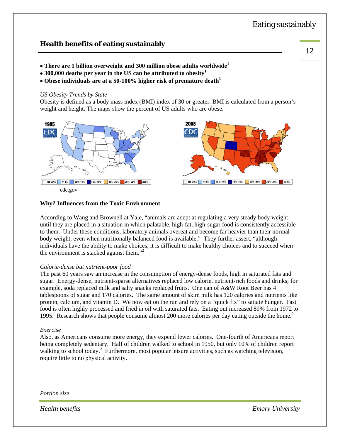# **Health benefits of eating sustainably**

- **There are 1 billion overweight and 300 million obese adults worldwide<sup>1</sup>**
- **300,000 deaths per year in the US can be attributed to obesity<sup>1</sup>**
- **Obese individuals are at a 50-100% higher risk of premature death<sup>1</sup>**

#### *US Obesity Trends by State*

Obesity is defined as a body mass index (BMI) index of 30 or greater. BMI is calculated from a person's weight and height. The maps show the percent of US adults who are obese.



#### **Why? Influences from the Toxic Environment**

According to Wang and Brownell at Yale, "animals are adept at regulating a very steady body weight until they are placed in a situation in which palatable, high-fat, high-sugar food is consistently accessible to them. Under these conditions, laboratory animals overeat and become far heavier than their normal body weight, even when nutritionally balanced food is available." They further assert, "although individuals have the ability to make choices, it is difficult to make healthy choices and to succeed when the environment is stacked against them."<sup>2</sup>

#### *Calorie-dense but nutrient-poor food*

The past 60 years saw an increase in the consumption of energy-dense foods, high in saturated fats and sugar. Energy-dense, nutrient-sparse alternatives replaced low calorie, nutrient-rich foods and drinks; for example, soda replaced milk and salty snacks replaced fruits. One can of A&W Root Beer has 4 tablespoons of sugar and 170 calories. The same amount of skim milk has 120 calories and nutrients like protein, calcium, and vitamin D. We now eat on the run and rely on a "quick fix" to satiate hunger. Fast food is often highly processed and fried in oil with saturated fats. Eating out increased 89% from 1972 to 1995. Research shows that people consume almost 200 more calories per day eating outside the home.<sup>2</sup>

#### *Exercise*

Also, as Americans consume more energy, they expend fewer calories. One-fourth of Americans report being completely sedentary. Half of children walked to school in 1950, but only 10% of children report walking to school today.<sup>2</sup> Furthermore, most popular leisure activities, such as watching television, require little to no physical activity.

*Portion size* 

*Health benefits Emory University*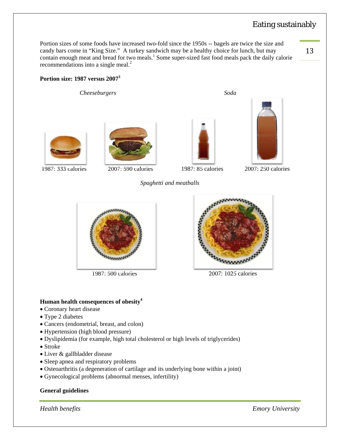Portion sizes of some foods have increased two-fold since the 1950s -- bagels are twice the size and candy bars come in "King Size." A turkey sandwich may be a healthy choice for lunch, but may contain enough meat and bread for two meals.<sup>1</sup> Some super-sized fast food meals pack the daily calorie recommendations into a single meal.<sup>2</sup>

*Spaghetti and meatballs* 

13 

#### **Portion size: 1987 versus 20073**

 *Cheeseburgers Soda* 







1987: 333 calories 2007: 590 calories 1987: 85 calories 2007: 250 calories



1987: 500 calories 2007: 1025 calories



#### **Human health consequences of obesity<sup>4</sup>**

- Coronary heart disease
- Type 2 diabetes
- Cancers (endometrial, breast, and colon)
- Hypertension (high blood pressure)
- Dyslipidemia (for example, high total cholesterol or high levels of triglycerides)
- Stroke
- Liver & gallbladder disease
- Sleep apnea and respiratory problems
- Osteoarthritis (a degeneration of cartilage and its underlying bone within a joint)
- Gynecological problems (abnormal menses, infertility)

#### **General guidelines**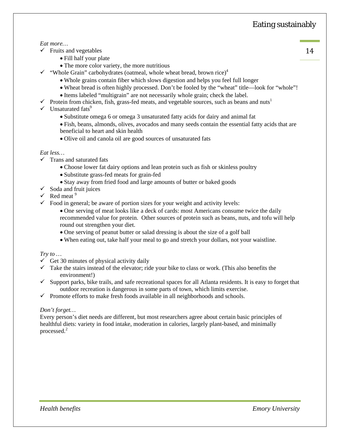#### *Eat more…*

- $\checkmark$  Fruits and vegetables
	- Fill half your plate
	- The more color variety, the more nutritious
- $\checkmark$  "Whole Grain" carbohydrates (oatmeal, whole wheat bread, brown rice)<sup>4</sup>
	- Whole grains contain fiber which slows digestion and helps you feel full longer
	- Wheat bread is often highly processed. Don't be fooled by the "wheat" title—look for "whole"!
	- Items labeled "multigrain" are not necessarily whole grain; check the label.
- Protein from chicken, fish, grass-fed meats, and vegetable sources, such as beans and nuts<sup>1</sup>
- $\checkmark$  Unsaturated fats<sup>9</sup>
	- Substitute omega 6 or omega 3 unsaturated fatty acids for dairy and animal fat
	- Fish, beans, almonds, olives, avocados and many seeds contain the essential fatty acids that are beneficial to heart and skin health
	- Olive oil and canola oil are good sources of unsaturated fats

#### *Eat less…*

- $\checkmark$  Trans and saturated fats
	- Choose lower fat dairy options and lean protein such as fish or skinless poultry
	- Substitute grass-fed meats for grain-fed
	- Stay away from fried food and large amounts of butter or baked goods
- $\checkmark$  Soda and fruit juices
- $\checkmark$  Red meat<sup>9</sup>
- $\checkmark$  Food in general; be aware of portion sizes for your weight and activity levels:
	- One serving of meat looks like a deck of cards: most Americans consume twice the daily recommended value for protein. Other sources of protein such as beans, nuts, and tofu will help round out strengthen your diet.
	- One serving of peanut butter or salad dressing is about the size of a golf ball
	- When eating out, take half your meal to go and stretch your dollars, not your waistline.

#### *Try to …*

- $\checkmark$  Get 30 minutes of physical activity daily
- $\checkmark$  Take the stairs instead of the elevator; ride your bike to class or work. (This also benefits the environment!)
- $\checkmark$  Support parks, bike trails, and safe recreational spaces for all Atlanta residents. It is easy to forget that outdoor recreation is dangerous in some parts of town, which limits exercise.
- $\checkmark$  Promote efforts to make fresh foods available in all neighborhoods and schools.

#### *Don't forget…*

Every person's diet needs are different, but most researchers agree about certain basic principles of healthful diets: variety in food intake, moderation in calories, largely plant-based, and minimally processed. $2$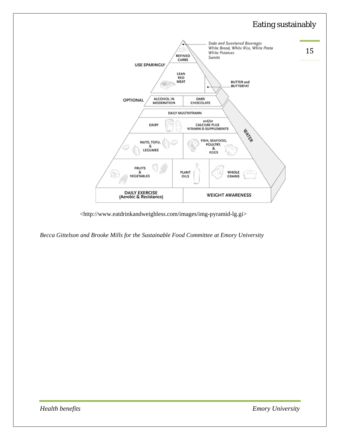

<http://www.eatdrinkandweighless.com/images/img-pyramid-lg.gi>

*Becca Gittelson and Brooke Mills for the Sustainable Food Committee at Emory University*

*Health benefits Emory University*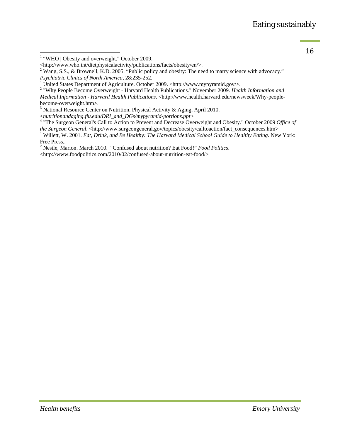$\frac{1}{2}$  "WHO | Obesity and overweight." October 2009.

<sup>2</sup> Wang, S.S., & Brownell, K.D. 2005. "Public policy and obesity: The need to marry science with advocacy."

2 "Why People Become Overweight - Harvard Health Publications." November 2009. *Health Information and Medical Information - Harvard Health Publications*. <http://www.health.harvard.edu/newsweek/Why-peoplebecome-overweight.htm>.

<sup>3</sup> National Resource Center on Nutrition, Physical Activity & Aging. April 2010.

<sup>&</sup>lt;*nutritionandaging.fiu.edu/DRI\_and\_DGs/mypyramid-portions.ppt>* <sup>4</sup> "The Surgeon General's Call to Action to Prevent and Decrease Overweight and Obesity." October 2009 *Office of the Surgeon General.* <http://www.surgeongeneral.gov/topics/obesity/calltoaction/fact\_consequences.htm>

<sup>1</sup> Willett, W. 2001. *Eat, Drink, and Be Healthy: The Harvard Medical School Guide to Healthy Eating*. New York: Free Press..

2 Nestle, Marion. March 2010. "Confused about nutrition? Eat Food!" *Food Politics*.

<http://www.foodpolitics.com/2010/02/confused-about-nutrition-eat-food/>

<sup>&</sup>lt;http://www.who.int/dietphysicalactivity/publications/facts/obesity/en/>.

*Psychiatric Clinics of North America*, 28:235-252.<br><sup>1</sup> United States Department of Agriculture. October 2009. <http://www.mypyramid.gov/>.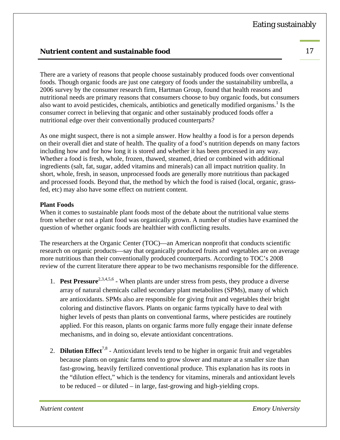# **Nutrient content and sustainable food** 17

There are a variety of reasons that people choose sustainably produced foods over conventional foods. Though organic foods are just one category of foods under the sustainability umbrella, a 2006 survey by the consumer research firm, Hartman Group, found that health reasons and nutritional needs are primary reasons that consumers choose to buy organic foods, but consumers also want to avoid pesticides, chemicals, antibiotics and genetically modified organisms.<sup>1</sup> Is the consumer correct in believing that organic and other sustainably produced foods offer a nutritional edge over their conventionally produced counterparts?

As one might suspect, there is not a simple answer. How healthy a food is for a person depends on their overall diet and state of health. The quality of a food's nutrition depends on many factors including how and for how long it is stored and whether it has been processed in any way. Whether a food is fresh, whole, frozen, thawed, steamed, dried or combined with additional ingredients (salt, fat, sugar, added vitamins and minerals) can all impact nutrition quality. In short, whole, fresh, in season, unprocessed foods are generally more nutritious than packaged and processed foods. Beyond that, the method by which the food is raised (local, organic, grassfed, etc) may also have some effect on nutrient content.

#### **Plant Foods**

When it comes to sustainable plant foods most of the debate about the nutritional value stems from whether or not a plant food was organically grown. A number of studies have examined the question of whether organic foods are healthier with conflicting results.

The researchers at the Organic Center (TOC)—an American nonprofit that conducts scientific research on organic products—say that organically produced fruits and vegetables are on average more nutritious than their conventionally produced counterparts. According to TOC's 2008 review of the current literature there appear to be two mechanisms responsible for the difference.

- 1. **Pest Pressure**2,3,4,5,6 When plants are under stress from pests, they produce a diverse array of natural chemicals called secondary plant metabolites (SPMs), many of which are antioxidants. SPMs also are responsible for giving fruit and vegetables their bright coloring and distinctive flavors. Plants on organic farms typically have to deal with higher levels of pests than plants on conventional farms, where pesticides are routinely applied. For this reason, plants on organic farms more fully engage their innate defense mechanisms, and in doing so, elevate antioxidant concentrations.
- 2. **Dilution Effect**<sup>7,8</sup> Antioxidant levels tend to be higher in organic fruit and vegetables because plants on organic farms tend to grow slower and mature at a smaller size than fast-growing, heavily fertilized conventional produce. This explanation has its roots in the "dilution effect," which is the tendency for vitamins, minerals and antioxidant levels to be reduced – or diluted – in large, fast-growing and high-yielding crops.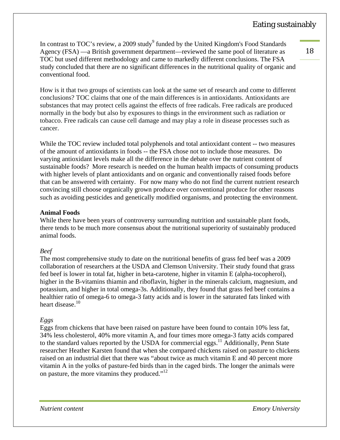In contrast to TOC's review, a 2009 study<sup>9</sup> funded by the United Kingdom's Food Standards Agency (FSA) —a British government department—reviewed the same pool of literature as TOC but used different methodology and came to markedly different conclusions. The FSA study concluded that there are no significant differences in the nutritional quality of organic and conventional food.

How is it that two groups of scientists can look at the same set of research and come to different conclusions? TOC claims that one of the main differences is in antioxidants. Antioxidants are substances that may protect cells against the effects of free radicals. Free radicals are produced normally in the body but also by exposures to things in the environment such as radiation or tobacco. Free radicals can cause cell damage and may play a role in disease processes such as cancer.

While the TOC review included total polyphenols and total antioxidant content -- two measures of the amount of antioxidants in foods -- the FSA chose not to include those measures. Do varying antioxidant levels make all the difference in the debate over the nutrient content of sustainable foods? More research is needed on the human health impacts of consuming products with higher levels of plant antioxidants and on organic and conventionally raised foods before that can be answered with certainty. For now many who do not find the current nutrient research convincing still choose organically grown produce over conventional produce for other reasons such as avoiding pesticides and genetically modified organisms, and protecting the environment.

#### **Animal Foods**

While there have been years of controversy surrounding nutrition and sustainable plant foods, there tends to be much more consensus about the nutritional superiority of sustainably produced animal foods.

#### *Beef*

The most comprehensive study to date on the nutritional benefits of grass fed beef was a 2009 collaboration of researchers at the USDA and Clemson University. Their study found that grass fed beef is lower in total fat, higher in beta-carotene, higher in vitamin E (alpha-tocopherol), higher in the B-vitamins thiamin and riboflavin, higher in the minerals calcium, magnesium, and potassium, and higher in total omega-3s. Additionally, they found that grass fed beef contains a healthier ratio of omega-6 to omega-3 fatty acids and is lower in the saturated fats linked with heart disease.<sup>10</sup>

#### *Eggs*

Eggs from chickens that have been raised on pasture have been found to contain 10% less fat, 34% less cholesterol, 40% more vitamin A, and four times more omega-3 fatty acids compared to the standard values reported by the USDA for commercial eggs.<sup>11</sup> Additionally, Penn State researcher Heather Karsten found that when she compared chickens raised on pasture to chickens raised on an industrial diet that there was "about twice as much vitamin E and 40 percent more vitamin A in the yolks of pasture-fed birds than in the caged birds. The longer the animals were on pasture, the more vitamins they produced."<sup>12</sup>

18 

*Nutrient content Emory University*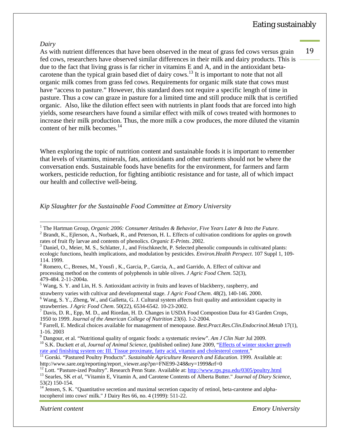19 

#### *Dairy*

As with nutrient differences that have been observed in the meat of grass fed cows versus grain fed cows, researchers have observed similar differences in their milk and dairy products. This is due to the fact that living grass is far richer in vitamins E and A, and in the antioxidant betacarotene than the typical grain based diet of dairy cows.<sup>13</sup> It is important to note that not all organic milk comes from grass fed cows. Requirements for organic milk state that cows must have "access to pasture." However, this standard does not require a specific length of time in pasture. Thus a cow can graze in pasture for a limited time and still produce milk that is certified organic. Also, like the dilution effect seen with nutrients in plant foods that are forced into high yields, some researchers have found a similar effect with milk of cows treated with hormones to increase their milk production. Thus, the more milk a cow produces, the more diluted the vitamin content of her milk becomes.<sup>14</sup>

When exploring the topic of nutrition content and sustainable foods it is important to remember that levels of vitamins, minerals, fats, antioxidants and other nutrients should not be where the conversation ends. Sustainable foods have benefits for the environment, for farmers and farm workers, pesticide reduction, for fighting antibiotic resistance and for taste, all of which impact our health and collective well-being.

*Kip Slaughter for the Sustainable Food Committee at Emory University* 

- <sup>3</sup> Daniel, O., Meier, M. S., Schlatter, J., and Frischknecht, P. Selected phenolic compounds in cultivated plants: ecologic functions, health implications, and modulation by pesticides. *Environ.Health Perspect*. 107 Suppl 1, 109- 114. 1999.
- <sup>4</sup> Romero, C., Brenes, M., Yousfi, K., Garcia, P., Garcia, A., and Garrido, A. Effect of cultivar and processing method on the contents of polyphenols in table olives. *J Agric Food Chem*. 52(3), 479-484. 2-11-2004a.

strawberry varies with cultivar and developmental stage. *J Agric Food Chem.* 48(2), 140-146. 2000.

*Nutrient content Emory University*

<sup>&</sup>lt;sup>1</sup> The Hartman Group, *Organic 2006: Consumer Attitudes & Behavior*, *Five Years Later & Into the Future*.<br><sup>2</sup> Propett K., Eilerson, A., Norbeck, B., and Poterson, H.J., Effects of sultivation conditions for spales on gr

 $^{2}$  Brandt, K., Ejlerson, A., Norbaek, R., and Peterson, H. L. Effects of cultivation conditions for apples on growth rates of fruit fly larvae and contents of phenolics. *Organic E-Prints*. 2002. 3

<sup>&</sup>lt;sup>5</sup> Wang, S. Y. and Lin, H. S. Antioxidant activity in fruits and leaves of blackberry, raspberry, and

<sup>&</sup>lt;sup>6</sup> Wang, S. Y., Zheng, W., and Galletta, G. J. Cultural system affects fruit quality and antioxidant capacity in strawberries. *J Agric Food Chem*. 50(22), 6534-6542. 10-23-2002. 7

 $^7$  Davis, D. R., Epp, M. D., and Riordan, H. D. Changes in USDA Food Compostion Data for 43 Garden Crops, 1950 to 1999. *Journal of the American College of Nutrition* 23(6). 1-2-2004. 8

Farrell, E. Medical choices available for management of menopause. *Best.Pract.Res.Clin.Endocrinol.Metab* 17(1), 1-16. 2003

<sup>&</sup>lt;sup>9</sup> Dangour, et al. "Nutritional quality of organic foods: a systematic review". Am J Clin Nutr Jul 2009.

<sup>&</sup>lt;sup>10</sup> S.K. Duckett *et al. Journal of Animal Science*, (published online) June 2009, "Effects of winter stocker growth rate and finishing system on: III. Tissue proximate, fatty acid, vitamin and cholesterol content." 11 Gorski. "Pastured Poultry Products". *Sustainable Agriculture Research and Education*. 1999. Available at:

http://www.sare.org/reporting/report\_viewer.asp?pn=FNE99-248&ry=1999&rf=0<br><sup>12</sup> Lott. "Pasture-ized Poultry". Research Penn State. Available at: http://www.rps.psu.edu/0305/poultry.html<br><sup>13</sup> Searles, SK *et al*, "Vitamin E,

<sup>53(2) 150-154.</sup> 

<sup>&</sup>lt;sup>14</sup> Jensen, S. K. "Quantitative secretion and maximal secretion capacity of retinol, beta-carotene and alphatocopherol into cows' milk." J Dairy Res 66, no. 4 (1999): 511-22.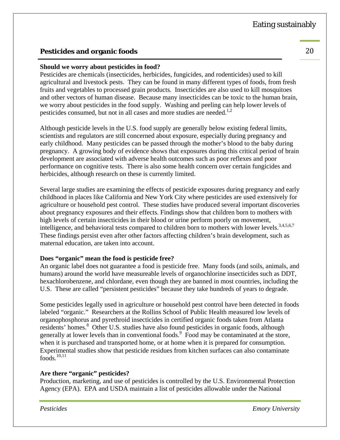# **Pesticides and organic foods** 20

#### **Should we worry about pesticides in food?**

Pesticides are chemicals (insecticides, herbicides, fungicides, and rodenticides) used to kill agricultural and livestock pests. They can be found in many different types of foods, from fresh fruits and vegetables to processed grain products. Insecticides are also used to kill mosquitoes and other vectors of human disease. Because many insecticides can be toxic to the human brain, we worry about pesticides in the food supply. Washing and peeling can help lower levels of pesticides consumed, but not in all cases and more studies are needed.<sup>1,2</sup>

Although pesticide levels in the U.S. food supply are generally below existing federal limits, scientists and regulators are still concerned about exposure, especially during pregnancy and early childhood. Many pesticides can be passed through the mother's blood to the baby during pregnancy. A growing body of evidence shows that exposures during this critical period of brain development are associated with adverse health outcomes such as poor reflexes and poor performance on cognitive tests. There is also some health concern over certain fungicides and herbicides, although research on these is currently limited.

Several large studies are examining the effects of pesticide exposures during pregnancy and early childhood in places like California and New York City where pesticides are used extensively for agriculture or household pest control. These studies have produced several important discoveries about pregnancy exposures and their effects. Findings show that children born to mothers with high levels of certain insecticides in their blood or urine perform poorly on movement, intelligence, and behavioral tests compared to children born to mothers with lower levels.<sup>3,4,5,6,7</sup> These findings persist even after other factors affecting children's brain development, such as maternal education, are taken into account.

#### **Does "organic" mean the food is pesticide free?**

An organic label does not guarantee a food is pesticide free. Many foods (and soils, animals, and humans) around the world have measureable levels of organochlorine insecticides such as DDT, hexachlorobenzene, and chlordane, even though they are banned in most countries, including the U.S. These are called "persistent pesticides" because they take hundreds of years to degrade.

Some pesticides legally used in agriculture or household pest control have been detected in foods labeled "organic." Researchers at the Rollins School of Public Health measured low levels of organophosphorus and pyrethroid insecticides in certified organic foods taken from Atlanta residents' homes.<sup>8</sup> Other U.S. studies have also found pesticides in organic foods, although generally at lower levels than in conventional foods.<sup>9</sup> Food may be contaminated at the store, when it is purchased and transported home, or at home when it is prepared for consumption. Experimental studies show that pesticide residues from kitchen surfaces can also contaminate  $foods.<sup>10,11</sup>$ 

#### **Are there "organic" pesticides?**

Production, marketing, and use of pesticides is controlled by the U.S. Environmental Protection Agency (EPA). EPA and USDA maintain a list of pesticides allowable under the National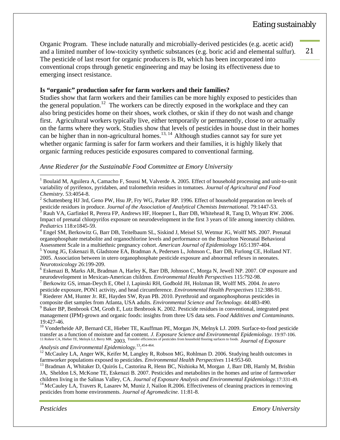Organic Program. These include naturally and microbially-derived pesticides (e.g. acetic acid) and a limited number of low-toxicity synthetic substances (e.g. boric acid and elemental sulfur). The pesticide of last resort for organic producers is Bt, which has been incorporated into conventional crops through genetic engineering and may be losing its effectiveness due to emerging insect resistance.

#### **Is "organic" production safer for farm workers and their families?**

Studies show that farm workers and their families can be more highly exposed to pesticides than the general population.<sup>12</sup> The workers can be directly exposed in the workplace and they can also bring pesticides home on their shoes, work clothes, or skin if they do not wash and change first. Agricultural workers typically live, either temporarily or permanently, close to or actually on the farms where they work. Studies show that levels of pesticides in house dust in their homes can be higher than in non-agricultural homes.<sup>13, 14</sup> Although studies cannot say for sure yet whether organic farming is safer for farm workers and their families, it is highly likely that organic farming reduces pesticide exposures compared to conventional farming.

#### *Anne Riederer for the Sustainable Food Committee at Emory University*

 Engel SM, Berkowitz G, Barr DB, Teitelbaum SL, Siskind J, Meisel SJ, Wetmur JG, Wolff MS. 2007. Prenatal organophosphate metabolite and organochlorine levels and performance on the Brazelton Neonatal Behavioral Assessment Scale in a multiethnic pregnancy cohort. *American Journal of Epidemiology* 165:1397-404. 5

 Young JG, Eskenazi B, Gladstone EA, Bradman A, Pedersen L, Johnson C, Barr DB, Furlong CE, Holland NT. 2005. Association between in utero organophosphate pesticide exposure and abnormal reflexes in neonates. *Neurotoxicology* 26:199-209. 6

 Eskenazi B, Marks AR, Bradman A, Harley K, Barr DB, Johnson C, Morga N, Jewell NP. 2007. OP exposure and neurodevelopment in Mexican-American children. *Environmental Health Perspectives* 115:792-98. 7

Berkowitz GS, irman-Deych E, Obel J, Lapinski RH, Godbold JH, Holzman IR, Wolff MS. 2004. *In utero*

pesticide exposure, PON1 activity, and head circumference. *Environmental Health Perspectives* 112:388-91. <sup>8</sup> Riederer AM, Hunter Jr. RE, Hayden SW, Ryan PB. 2010. Pyrethroid and organophosphorus pesticides in composite diet samples from Atlanta, USA adults. *Environmental Science and Technology*. 44:483-490.

<sup>9</sup> Baker BP, Benbrook CM, Groth E, Lutz Benbrook K. 2002. Pesticide residues in conventional, integrated pest management (IPM)-grown and organic foods: insights from three US data sets. *Food Additives and Contaminants*. 19:427-46.

<sup>10</sup> Vonderheide AP, Bernard CE, Hieber TE, Kauffman PE, Morgan JN, Melnyk LJ. 2009. Surface-to-food pesticide transfer as a function of moisture and fat content. *J. Exposure Science and Environmental Epidemiology.* 19:97-106. 11 Rohrer CA, Hieber TE, Melnyk LJ, Berry MR. 2003. Transfer efficiencies of pesticides from household flooring surfaces to foods. *Journal of Exposure* 

*Analysis and Environmental Epidemiology.*13: 454-464.

<sup>12</sup> McCauley LA, Anger WK, Keifer M, Langley R, Robson MG, Rohlman D. 2006. Studying health outcomes in farmworker populations exposed to pesticides. *Environmental Health Perspectives* 114:953-60.<br><sup>13</sup> Bradman A, Whitaker D, Quirós L, Castorina R, Henn BC, Nishioka M, Morgan J, Barr DB, Harnly M, Brisbin

JA, Sheldon LS, McKone TE, Eskenazi B. 2007. Pesticides and metabolites in the homes and urine of farmworker children living in the Salinas Valley, CA. Journal of Exposure Analysis and Environmental Epidemiology.17:331-49.<br><sup>14</sup> McCaulev LA, Travers R, Lasarev M, Muniz J, Nailon R.2006. Effectiveness of cleaning practices in remov pesticides from home environments. *Journal of Agromedicine*. 11:81-8.

*Pesticides Emory University*

# Eating sustainably

 $\overline{a}$ <sup>1</sup> Boulaid M, Aguilera A, Camacho F, Soussi M, Valverde A. 2005. Effect of household processing and unit-to-unit variability of pyrifenox, pyridaben, and tralomethrin residues in tomatoes. *Journal of Agricultural and Food Chemistry.* 53:4054-8. 2

<sup>&</sup>lt;sup>2</sup> Schattenberg HJ 3rd, Geno PW, Hsu JP, Fry WG, Parker RP. 1996. Effect of household preparation on levels of pesticide residues in produce. *Journal of the Association of Analytical Chemists International*. 79:1447-53.

 $^3$  Rauh VA, Garfinkel R, Perera FP, Andrews HF, Hoepner L, Barr DB, Whitehead R, Tang D, Whyatt RW. 2006. Impact of prenatal chlorpyrifos exposure on neurodevelopment in the first 3 years of life among innercity children. *Pediatrics* 118:e1845-59. 4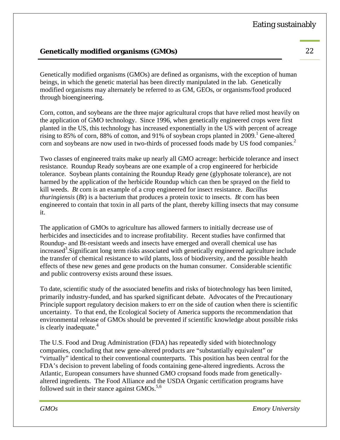# **Genetically modified organisms (GMOs)** 22

Genetically modified organisms (GMOs) are defined as organisms, with the exception of human beings, in which the genetic material has been directly manipulated in the lab. Genetically modified organisms may alternately be referred to as GM, GEOs, or organisms/food produced through bioengineering.

Corn, cotton, and soybeans are the three major agricultural crops that have relied most heavily on the application of GMO technology. Since 1996, when genetically engineered crops were first planted in the US, this technology has increased exponentially in the US with percent of acreage rising to 85% of corn, 88% of cotton, and 91% of soybean crops planted in  $2009$ .<sup>1</sup> Gene-altered corn and soybeans are now used in two-thirds of processed foods made by US food companies.<sup>2</sup>

Two classes of engineered traits make up nearly all GMO acreage: herbicide tolerance and insect resistance. Roundup Ready soybeans are one example of a crop engineered for herbicide tolerance. Soybean plants containing the Roundup Ready gene (glyphosate tolerance), are not harmed by the application of the herbicide Roundup which can then be sprayed on the field to kill weeds. *Bt* corn is an example of a crop engineered for insect resistance. *Bacillus thuringiensis* (*Bt*) is a bacterium that produces a protein toxic to insects. *Bt* corn has been engineered to contain that toxin in all parts of the plant, thereby killing insects that may consume it.

The application of GMOs to agriculture has allowed farmers to initially decrease use of herbicides and insecticides and to increase profitability. Recent studies have confirmed that Roundup- and Bt-resistant weeds and insects have emerged and overall chemical use has increased<sup>3</sup>. Significant long term risks associated with genetically engineered agriculture include the transfer of chemical resistance to wild plants, loss of biodiversity, and the possible health effects of these new genes and gene products on the human consumer. Considerable scientific and public controversy exists around these issues.

To date, scientific study of the associated benefits and risks of biotechnology has been limited, primarily industry-funded, and has sparked significant debate. Advocates of the Precautionary Principle support regulatory decision makers to err on the side of caution when there is scientific uncertainty. To that end, the Ecological Society of America supports the recommendation that environmental release of GMOs should be prevented if scientific knowledge about possible risks is clearly inadequate.<sup>4</sup>

The U.S. Food and Drug Administration (FDA) has repeatedly sided with biotechnology companies, concluding that new gene-altered products are "substantially equivalent" or "virtually" identical to their conventional counterparts. This position has been central for the FDA's decision to prevent labeling of foods containing gene-altered ingredients. Across the Atlantic, European consumers have shunned GMO cropsand foods made from geneticallyaltered ingredients. The Food Alliance and the USDA Organic certification programs have followed suit in their stance against  $GMOs.<sup>5,6</sup>$ 

*GMOs Emory University*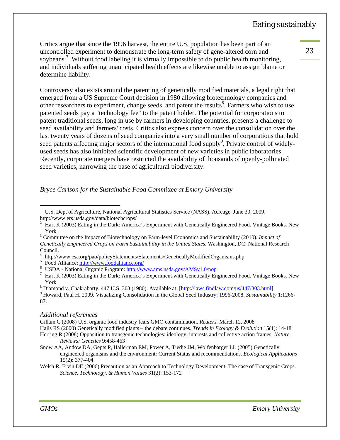23 

Critics argue that since the 1996 harvest, the entire U.S. population has been part of an uncontrolled experiment to demonstrate the long-term safety of gene-altered corn and soybeans.<sup>7</sup> Without food labeling it is virtually impossible to do public health monitoring, and individuals suffering unanticipated health effects are likewise unable to assign blame or determine liability.

Controversy also exists around the patenting of genetically modified materials, a legal right that emerged from a US Supreme Court decision in 1980 allowing biotechnology companies and other researchers to experiment, change seeds, and patent the results<sup>8</sup>. Farmers who wish to use patented seeds pay a "technology fee" to the patent holder. The potential for corporations to patent traditional seeds, long in use by farmers in developing countries, presents a challenge to seed availability and farmers' costs. Critics also express concern over the consolidation over the last twenty years of dozens of seed companies into a very small number of corporations that hold seed patents affecting major sectors of the international food supply<sup>9</sup>. Private control of widelyused seeds has also inhibited scientific development of new varieties in public laboratories. Recently, corporate mergers have restricted the availability of thousands of openly-pollinated seed varieties, narrowing the base of agricultural biodiversity.

*Bryce Carlson for the Sustainable Food Committee at Emory University* 

<sup>5</sup> Food Alliance: http://www.foodalliance.org/

#### *Additional references*

Gillam C (2008) U.S. organic food industry fears GMO contamination. *Reuters.* March 12, 2008

 $\overline{a}$ 

<sup>&</sup>lt;sup>1</sup> U.S. Dept of Agriculture, National Agricultural Statistics Service (NASS). Acreage. June 30, 2009.

http://www.ers.usda.gov/data/biotechcrops/

 $2\;$  Hart K (2003) Eating in the Dark: America's Experiment with Genetically Engineered Food. Vintage Books. New York<br><sup>3</sup> Committee on the Impact of Biotechnology on Farm-level Economics and Sustainability (2010). *Impact of* 

*Genetically Engineered Crops on Farm Sustainability in the United States*. Washington, DC: National Research Council.

<sup>4</sup> http://www.esa.org/pao/policyStatements/Statements/GeneticallyModifiedOrganisms.php 5

<sup>&</sup>lt;sup>6</sup> USDA - National Organic Program: http://www.ams.usda.gov/AMSv1.0/nop

 $\frac{1}{2}$  Hart K (2003) Eating in the Dark: America's Experiment with Genetically Engineered Food. Vintage Books. New  $\frac{Y \text{ork}}{8 \text{ N} \cdot \text{sim}}$ 

<sup>&</sup>lt;sup>8</sup> Diamond v. Chakrabarty, 447 U.S. 303 (1980). Available at:  $[\frac{\text{http://laws.findlaw.com/us/447/303.html}}{\text{Journal of Journal in the Global Road Industry: 1006, 2008. Statistical Britishistic: 2000}$ 

Howard, Paul H. 2009. Visualizing Consolidation in the Global Seed Industry: 1996-2008. *Sustainability* 1:1266- 87.

Hails RS (2000) Genetically modified plants – the debate continues. *Trends in Ecology & Evolution* 15(1): 14-18 Herring R (2008) Opposition to transgenic technologies: ideology, interests and collective action frames. *Nature* 

*Reviews: Genetics* 9:458-463

Snow AA, Andow DA, Gepts P, Hallerman EM, Power A, Tiedje JM, Wolfenbarger LL (2005) Genetically engineered organisms and the environment: Current Status and recommendations. *Ecological Applications* 15(2): 377-404

Welsh R, Ervin DE (2006) Precaution as an Approach to Technology Development: The case of Transgenic Crops. *Science, Technology, & Human Values* 31(2): 153-172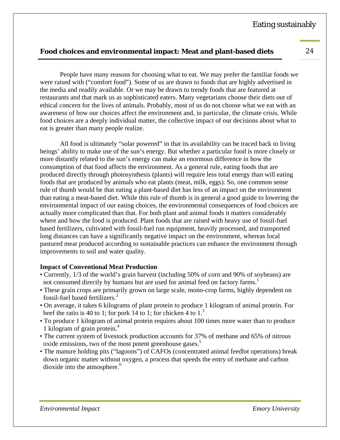# **Food choices and environmental impact: Meat and plant-based diets** 24

 People have many reasons for choosing what to eat. We may prefer the familiar foods we were raised with ("comfort food"). Some of us are drawn to foods that are highly advertised in the media and readily available. Or we may be drawn to trendy foods that are featured at restaurants and that mark us as sophisticated eaters. Many vegetarians choose their diets out of ethical concern for the lives of animals. Probably, most of us do not choose what we eat with an awareness of how our choices affect the environment and, in particular, the climate crisis. While food choices are a deeply individual matter, the collective impact of our decisions about what to eat is greater than many people realize.

 All food is ultimately "solar powered" in that its availability can be traced back to living beings' ability to make use of the sun's energy. But whether a particular food is more closely or more distantly related to the sun's energy can make an enormous difference in how the consumption of that food affects the environment. As a general rule, eating foods that are produced directly through photosynthesis (plants) will require less total energy than will eating foods that are produced by animals who eat plants (meat, milk, eggs). So, one common sense rule of thumb would be that eating a plant-based diet has less of an impact on the environment than eating a meat-based diet. While this rule of thumb is in general a good guide to lowering the environmental impact of our eating choices, the environmental consequences of food choices are actually more complicated than that. For both plant and animal foods it matters considerably where and how the food is produced. Plant foods that are raised with heavy use of fossil-fuel based fertilizers, cultivated with fossil-fuel run equipment, heavily processed, and transported long distances can have a significantly negative impact on the environment, whereas local pastured meat produced according to sustainable practices can enhance the environment through improvements to soil and water quality.

# **Impact of Conventional Meat Production**

- Currently, 1/3 of the world's grain harvest (including 50% of corn and 90% of soybeans) are not consumed directly by humans but are used for animal feed on factory farms.<sup>1</sup>
- These grain crops are primarily grown on large scale, mono-crop farms, highly dependent on fossil-fuel based fertilizers.<sup>2</sup>
- On average, it takes 6 kilograms of plant protein to produce 1 kilogram of animal protein. For beef the ratio is 40 to 1; for pork 14 to 1; for chicken 4 to  $1<sup>3</sup>$
- To produce 1 kilogram of animal protein requires about 100 times more water than to produce 1 kilogram of grain protein.<sup>4</sup>
- The current system of livestock production accounts for 37% of methane and 65% of nitrous oxide emissions, two of the most potent greenhouse gases.<sup>5</sup>
- The manure holding pits ("lagoons") of CAFOs (concentrated animal feedlot operations) break down organic matter without oxygen, a process that speeds the entry of methane and carbon dioxide into the atmosphere.<sup>6</sup>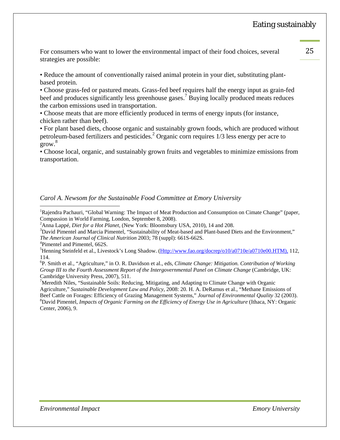For consumers who want to lower the environmental impact of their food choices, several 25 strategies are possible:

• Reduce the amount of conventionally raised animal protein in your diet, substituting plantbased protein.

• Choose grass-fed or pastured meats. Grass-fed beef requires half the energy input as grain-fed beef and produces significantly less greenhouse gases.<sup>7</sup> Buying locally produced meats reduces the carbon emissions used in transportation.

• Choose meats that are more efficiently produced in terms of energy inputs (for instance, chicken rather than beef).

• For plant based diets, choose organic and sustainably grown foods, which are produced without petroleum-based fertilizers and pesticides.<sup>2</sup> Organic corn requires 1/3 less energy per acre to grow.<sup>8</sup>

• Choose local, organic, and sustainably grown fruits and vegetables to minimize emissions from transportation.

#### *Carol A. Newsom for the Sustainable Food Committee at Emory University*

<sup>1</sup>Rajendra Pachauri, "Global Warning: The Impact of Meat Production and Consumption on Cimate Change" (paper, Compassion in World Farming, London, September 8, 2008).

 $3$ David Pimentel and Marcia Pimentel, "Sustainability of Meat-based and Plant-based Diets and the Environment," *The American Journal of Clinical Nutrition* 2003; 78 (suppl): 661S-662S. 4

Pimentel and Pimentel, 662S.

 $\overline{a}$ 

<sup>5</sup>Henning Steinfeld et al., Livestock's Long Shadow. (*Http://www.fao.org/docrep/o10/a0710e/a0710e00.HTM*), 112, 114.

6 P. Smith et al., "Agriculture," in O. R. Davidson et al., eds, *Climate Change: Mitigation. Contribution of Working Group III to the Fourth Assessment Report of the Intergovernmental Panel on Climate Change* (Cambridge, UK: Cambridge University Press, 2007), 511.

<sup>7</sup>Meredith Niles, "Sustainable Soils: Reducing, Mitigating, and Adapting to Climate Change with Organic Agriculture," *Sustainable Development Law and Policy*, 2008: 20. H. A. DeRamus et al., "Methane Emissions of Beef Cattle on Forages: Efficiency of Grazing Management Systems," *Journal of Environmental Quality* 32 (2003). 8 David Pimentel, *Impacts of Organic Farming on the Efficiency of Energy Use in Agriculture* (Ithaca, NY: Organic Center, 2006), 9.

<sup>&</sup>lt;sup>2</sup> Anna Lappé, *Diet for a Hot Planet*, (New York: Bloomsbury USA, 2010), 14 and 208. <sup>3</sup><br><sup>3</sup> David Bimental and Margia Bimental. "Sustainability of Mast based and Plant based D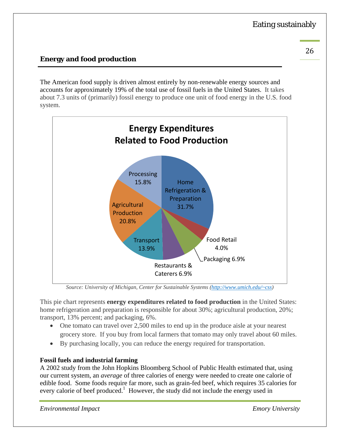## **Energy and food production**

The American food supply is driven almost entirely by non-renewable energy sources and accounts for approximately 19% of the total use of fossil fuels in the United States. It takes about 7.3 units of (primarily) fossil energy to produce one unit of food energy in the U.S. food system.



*Source: University of Michigan, Center for Sustainable Systems (http://www.umich.edu/~css)*

This pie chart represents **energy expenditures related to food production** in the United States: home refrigeration and preparation is responsible for about 30%; agricultural production, 20%; transport, 13% percent; and packaging, 6%.

- One tomato can travel over 2,500 miles to end up in the produce aisle at your nearest grocery store. If you buy from local farmers that tomato may only travel about 60 miles.
- By purchasing locally, you can reduce the energy required for transportation.

#### **Fossil fuels and industrial farming**

A 2002 study from the John Hopkins Bloomberg School of Public Health estimated that, using our current system, an *average* of three calories of energy were needed to create one calorie of edible food. Some foods require far more, such as grain-fed beef, which requires 35 calories for every calorie of beef produced.<sup>1</sup> However, the study did not include the energy used in

*Environmental Impact Emory University*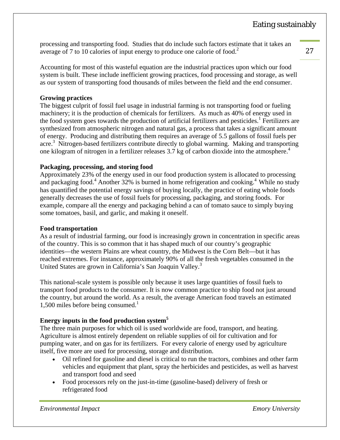processing and transporting food. Studies that do include such factors estimate that it takes an average of 7 to 10 calories of input energy to produce one calorie of food.<sup>2</sup>

Accounting for most of this wasteful equation are the industrial practices upon which our food system is built. These include inefficient growing practices, food processing and storage, as well as our system of transporting food thousands of miles between the field and the end consumer.

#### **Growing practices**

The biggest culprit of fossil fuel usage in industrial farming is not transporting food or fueling machinery; it is the production of chemicals for fertilizers. As much as 40% of energy used in the food system goes towards the production of artificial fertilizers and pesticides.<sup>1</sup> Fertilizers are synthesized from atmospheric nitrogen and natural gas, a process that takes a significant amount of energy. Producing and distributing them requires an average of 5.5 gallons of fossil fuels per acre.<sup>3</sup> Nitrogen-based fertilizers contribute directly to global warming. Making and transporting one kilogram of nitrogen in a fertilizer releases 3.7 kg of carbon dioxide into the atmosphere.<sup>4</sup>

#### **Packaging, processing, and storing food**

Approximately 23% of the energy used in our food production system is allocated to processing and packaging food.<sup>4</sup> Another 32% is burned in home refrigeration and cooking.<sup>4</sup> While no study has quantified the potential energy savings of buying locally, the practice of eating whole foods generally decreases the use of fossil fuels for processing, packaging, and storing foods. For example, compare all the energy and packaging behind a can of tomato sauce to simply buying some tomatoes, basil, and garlic, and making it oneself.

**Food transportation**<br>As a result of industrial farming, our food is increasingly grown in concentration in specific areas of the country. This is so common that it has shaped much of our country's geographic identities—the western Plains are wheat country, the Midwest is the Corn Belt—but it has reached extremes. For instance, approximately 90% of all the fresh vegetables consumed in the United States are grown in California's San Joaquin Valley.<sup>3</sup>

This national-scale system is possible only because it uses large quantities of fossil fuels to transport food products to the consumer. It is now common practice to ship food not just around the country, but around the world. As a result, the average American food travels an estimated  $1,500$  miles before being consumed.<sup>1</sup>

#### **Energy inputs in the food production system5**

The three main purposes for which oil is used worldwide are food, transport, and heating. Agriculture is almost entirely dependent on reliable supplies of oil for cultivation and for pumping water, and on gas for its fertilizers. For every calorie of energy used by agriculture itself, five more are used for processing, storage and distribution.

- Oil refined for gasoline and diesel is critical to run the tractors, combines and other farm vehicles and equipment that plant, spray the herbicides and pesticides, as well as harvest and transport food and seed
- Food processors rely on the just-in-time (gasoline-based) delivery of fresh or refrigerated food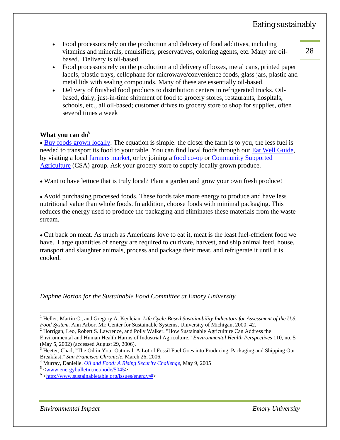- <sup>28</sup> Food processors rely on the production and delivery of food additives, including vitamins and minerals, emulsifiers, preservatives, coloring agents, etc. Many are oilbased. Delivery is oil-based.
- Food processors rely on the production and delivery of boxes, metal cans, printed paper labels, plastic trays, cellophane for microwave/convenience foods, glass jars, plastic and metal lids with sealing compounds. Many of these are essentially oil-based.
- Delivery of finished food products to distribution centers in refrigerated trucks. Oilbased, daily, just-in-time shipment of food to grocery stores, restaurants, hospitals, schools, etc., all oil-based; customer drives to grocery store to shop for supplies, often several times a week

#### **What you can do<sup>6</sup>**

• Buy foods grown locally. The equation is simple: the closer the farm is to you, the less fuel is needed to transport its food to your table. You can find local foods through our Eat Well Guide, by visiting a local farmers market, or by joining a food co-op or Community Supported Agriculture (CSA) group. Ask your grocery store to supply locally grown produce.

Want to have lettuce that is truly local? Plant a garden and grow your own fresh produce!

 Avoid purchasing processed foods. These foods take more energy to produce and have less nutritional value than whole foods. In addition, choose foods with minimal packaging. This reduces the energy used to produce the packaging and eliminates these materials from the waste stream.

 Cut back on meat. As much as Americans love to eat it, meat is the least fuel-efficient food we have. Large quantities of energy are required to cultivate, harvest, and ship animal feed, house, transport and slaughter animals, process and package their meat, and refrigerate it until it is cooked.

*Daphne Norton for the Sustainable Food Committee at Emory University* 

 $\overline{a}$ 

<sup>&</sup>lt;sup>1</sup> Heller, Martin C., and Gregory A. Keoleian. *Life Cycle-Based Sustainability Indicators for Assessment of the U.S. Food System.* Ann Arbor, MI: Center for Sustainable Systems, University of Michigan, 2000: 42.

<sup>&</sup>lt;sup>2</sup> Horrigan, Leo, Robert S. Lawrence, and Polly Walker. "How Sustainable Agriculture Can Address the

Environmental and Human Health Harms of Industrial Agriculture." *Environmental Health Perspectives* 110, no. 5 (May 5, 2002) (accessed August 29, 2006). 3

<sup>&</sup>lt;sup>3</sup> Heeter, Chad, "The Oil in Your Oatmeal: A Lot of Fossil Fuel Goes into Producing, Packaging and Shipping Our Breakfast," *San Francisco Chronicle,* March 26, 2006. 4

<sup>&</sup>lt;sup>4</sup> Murray, Danielle. *Oil and Food: A Rising Security Challenge*, May 9, 2005

 $5$  <www.energybulletin.net/node/5045>

 $6$  <http://www.sustainabletable.org/issues/energy/#>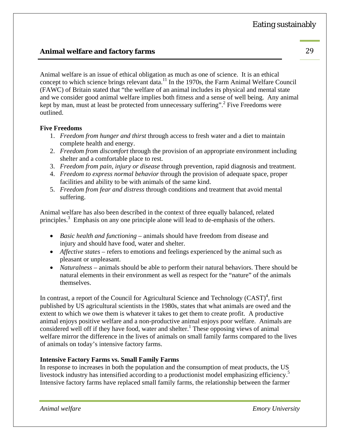# **Animal welfare and factory farms** 29

Animal welfare is an issue of ethical obligation as much as one of science. It is an ethical concept to which science brings relevant data.<sup>11</sup> In the 1970s, the Farm Animal Welfare Council (FAWC) of Britain stated that "the welfare of an animal includes its physical and mental state and we consider good animal welfare implies both fitness and a sense of well being. Any animal kept by man, must at least be protected from unnecessary suffering".<sup>2</sup> Five Freedoms were outlined.

#### **Five Freedoms**

- 1. *Freedom from hunger and thirst* through access to fresh water and a diet to maintain complete health and energy.
- 2. *Freedom from discomfort* through the provision of an appropriate environment including shelter and a comfortable place to rest.
- 3. *Freedom from pain, injury or disease* through prevention, rapid diagnosis and treatment.
- 4. *Freedom to express normal behavior* through the provision of adequate space, proper facilities and ability to be with animals of the same kind.
- 5. *Freedom from fear and distress* through conditions and treatment that avoid mental suffering.

Animal welfare has also been described in the context of three equally balanced, related principles.<sup>3</sup> Emphasis on any one principle alone will lead to de-emphasis of the others.

- *Basic health and functioning* animals should have freedom from disease and injury and should have food, water and shelter.
- *Affective states* refers to emotions and feelings experienced by the animal such as pleasant or unpleasant.
- *Naturalness* animals should be able to perform their natural behaviors. There should be natural elements in their environment as well as respect for the "nature" of the animals themselves.

In contrast, a report of the Council for Agricultural Science and Technology  $(CAST)^4$ , first published by US agricultural scientists in the 1980s, states that what animals are owed and the extent to which we owe them is whatever it takes to get them to create profit. A productive animal enjoys positive welfare and a non-productive animal enjoys poor welfare. Animals are considered well off if they have food, water and shelter.<sup>1</sup> These opposing views of animal welfare mirror the difference in the lives of animals on small family farms compared to the lives of animals on today's intensive factory farms.

#### **Intensive Factory Farms vs. Small Family Farms**

In response to increases in both the population and the consumption of meat products, the US livestock industry has intensified according to a productionist model emphasizing efficiency.<sup>5</sup> Intensive factory farms have replaced small family farms, the relationship between the farmer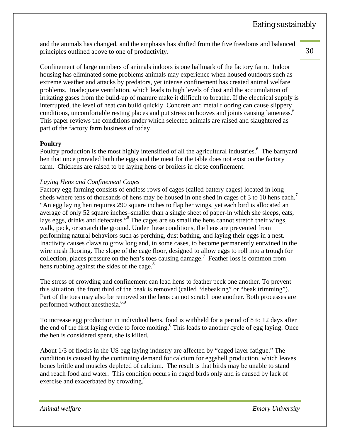and the animals has changed, and the emphasis has shifted from the five freedoms and balanced principles outlined above to one of productivity.

Confinement of large numbers of animals indoors is one hallmark of the factory farm. Indoor housing has eliminated some problems animals may experience when housed outdoors such as extreme weather and attacks by predators, yet intense confinement has created animal welfare problems. Inadequate ventilation, which leads to high levels of dust and the accumulation of irritating gases from the build-up of manure make it difficult to breathe. If the electrical supply is interrupted, the level of heat can build quickly. Concrete and metal flooring can cause slippery conditions, uncomfortable resting places and put stress on hooves and joints causing lameness.<sup>6</sup> This paper reviews the conditions under which selected animals are raised and slaughtered as part of the factory farm business of today.

#### **Poultry**

Poultry production is the most highly intensified of all the agricultural industries.<sup>6</sup> The barnyard hen that once provided both the eggs and the meat for the table does not exist on the factory farm. Chickens are raised to be laying hens or broilers in close confinement.

#### *Laying Hens and Confinement Cages*

Factory egg farming consists of endless rows of cages (called battery cages) located in long sheds where tens of thousands of hens may be housed in one shed in cages of 3 to 10 hens each.<sup>7</sup> "An egg laying hen requires 290 square inches to flap her wings, yet each bird is allocated an average of only 52 square inches–smaller than a single sheet of paper-in which she sleeps, eats, lays eggs, drinks and defecates."<sup>8</sup> The cages are so small the hens cannot stretch their wings, walk, peck, or scratch the ground. Under these conditions, the hens are prevented from performing natural behaviors such as perching, dust bathing, and laying their eggs in a nest. Inactivity causes claws to grow long and, in some cases, to become permanently entwined in the wire mesh flooring. The slope of the cage floor, designed to allow eggs to roll into a trough for collection, places pressure on the hen's toes causing damage.7 Feather loss is common from hens rubbing against the sides of the cage. $8$ 

The stress of crowding and confinement can lead hens to feather peck one another. To prevent this situation, the front third of the beak is removed (called "debeaking" or "beak trimming"). Part of the toes may also be removed so the hens cannot scratch one another. Both processes are performed without anesthesia.<sup>6,9</sup>

To increase egg production in individual hens, food is withheld for a period of 8 to 12 days after the end of the first laying cycle to force molting.<sup>6</sup> This leads to another cycle of egg laying. Once the hen is considered spent, she is killed.

About 1/3 of flocks in the US egg laying industry are affected by "caged layer fatigue." The condition is caused by the continuing demand for calcium for eggshell production, which leaves bones brittle and muscles depleted of calcium. The result is that birds may be unable to stand and reach food and water. This condition occurs in caged birds only and is caused by lack of exercise and exacerbated by crowding.<sup>9</sup>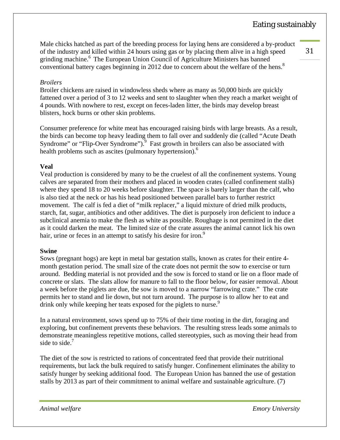Male chicks hatched as part of the breeding process for laying hens are considered a by-product of the industry and killed within 24 hours using gas or by placing them alive in a high speed grinding machine.<sup>6</sup> The European Union Council of Agriculture Ministers has banned conventional battery cages beginning in 2012 due to concern about the welfare of the hens.<sup>8</sup>

31 

#### *Broilers*

Broiler chickens are raised in windowless sheds where as many as 50,000 birds are quickly fattened over a period of 3 to 12 weeks and sent to slaughter when they reach a market weight of 4 pounds. With nowhere to rest, except on feces-laden litter, the birds may develop breast blisters, hock burns or other skin problems.

Consumer preference for white meat has encouraged raising birds with large breasts. As a result, the birds can become top heavy leading them to fall over and suddenly die (called "Acute Death Syndrome" or "Flip-Over Syndrome").<sup>9</sup> Fast growth in broilers can also be associated with health problems such as ascites (pulmonary hypertension).<sup>6</sup>

#### **Veal**

Veal production is considered by many to be the cruelest of all the confinement systems. Young calves are separated from their mothers and placed in wooden crates (called confinement stalls) where they spend 18 to 20 weeks before slaughter. The space is barely larger than the calf, who is also tied at the neck or has his head positioned between parallel bars to further restrict movement. The calf is fed a diet of "milk replacer," a liquid mixture of dried milk products, starch, fat, sugar, antibiotics and other additives. The diet is purposely iron deficient to induce a subclinical anemia to make the flesh as white as possible. Roughage is not permitted in the diet as it could darken the meat. The limited size of the crate assures the animal cannot lick his own hair, urine or feces in an attempt to satisfy his desire for iron.<sup>9</sup>

#### **Swine**

Sows (pregnant hogs) are kept in metal bar gestation stalls, known as crates for their entire 4 month gestation period. The small size of the crate does not permit the sow to exercise or turn around. Bedding material is not provided and the sow is forced to stand or lie on a floor made of concrete or slats. The slats allow for manure to fall to the floor below, for easier removal. About a week before the piglets are due, the sow is moved to a narrow "farrowing crate." The crate permits her to stand and lie down, but not turn around. The purpose is to allow her to eat and drink only while keeping her teats exposed for the piglets to nurse.<sup>9</sup>

In a natural environment, sows spend up to 75% of their time rooting in the dirt, foraging and exploring, but confinement prevents these behaviors. The resulting stress leads some animals to demonstrate meaningless repetitive motions, called stereotypies, such as moving their head from side to side.<sup>7</sup>

The diet of the sow is restricted to rations of concentrated feed that provide their nutritional requirements, but lack the bulk required to satisfy hunger. Confinement eliminates the ability to satisfy hunger by seeking additional food. The European Union has banned the use of gestation stalls by 2013 as part of their commitment to animal welfare and sustainable agriculture. (7)

*Animal welfare Emory University*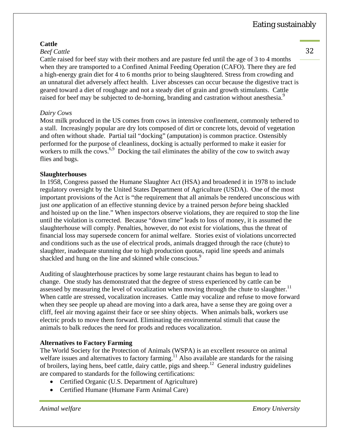#### **Cattle**

#### *Beef Cattle*

Cattle raised for beef stay with their mothers and are pasture fed until the age of 3 to 4 months when they are transported to a Confined Animal Feeding Operation (CAFO). There they are fed a high-energy grain diet for 4 to 6 months prior to being slaughtered. Stress from crowding and an unnatural diet adversely affect health. Liver abscesses can occur because the digestive tract is geared toward a diet of roughage and not a steady diet of grain and growth stimulants. Cattle raised for beef may be subjected to de-horning, branding and castration without anesthesia.<sup>9</sup>

#### *Dairy Cows*

Most milk produced in the US comes from cows in intensive confinement, commonly tethered to a stall. Increasingly popular are dry lots composed of dirt or concrete lots, devoid of vegetation and often without shade. Partial tail "docking" (amputation) is common practice. Ostensibly performed for the purpose of cleanliness, docking is actually performed to make it easier for workers to milk the cows.<sup>6,9</sup> Docking the tail eliminates the ability of the cow to switch away flies and bugs.

#### **Slaughterhouses**

In 1958, Congress passed the Humane Slaughter Act (HSA) and broadened it in 1978 to include regulatory oversight by the United States Department of Agriculture (USDA). One of the most important provisions of the Act is "the requirement that all animals be rendered unconscious with just *one* application of an effective stunning device by a trained person *before* being shackled and hoisted up on the line." When inspectors observe violations, they are required to stop the line until the violation is corrected. Because "down time" leads to loss of money, it is assumed the slaughterhouse will comply. Penalties, however, do not exist for violations, thus the threat of financial loss may supersede concern for animal welfare. Stories exist of violations uncorrected and conditions such as the use of electrical prods, animals dragged through the race (chute) to slaughter, inadequate stunning due to high production quotas, rapid line speeds and animals shackled and hung on the line and skinned while conscious.<sup>9</sup>

Auditing of slaughterhouse practices by some large restaurant chains has begun to lead to change. One study has demonstrated that the degree of stress experienced by cattle can be assessed by measuring the level of vocalization when moving through the chute to slaughter.<sup>11</sup> When cattle are stressed, vocalization increases. Cattle may vocalize and refuse to move forward when they see people up ahead are moving into a dark area, have a sense they are going over a cliff, feel air moving against their face or see shiny objects. When animals balk, workers use electric prods to move them forward. Eliminating the environmental stimuli that cause the animals to balk reduces the need for prods and reduces vocalization.

#### **Alternatives to Factory Farming**

The World Society for the Protection of Animals (WSPA) is an excellent resource on animal welfare issues and alternatives to factory farming.<sup>11</sup> Also available are standards for the raising of broilers, laying hens, beef cattle, dairy cattle, pigs and sheep.<sup>12</sup> General industry guidelines are compared to standards for the following certifications:

- Certified Organic (U.S. Department of Agriculture)
- Certified Humane (Humane Farm Animal Care)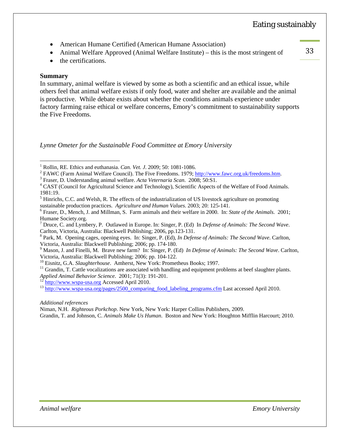- 
- American Humane Certified (American Humane Association)<br>• Animal Welfare Approved (Animal Welfare Institute) this is the most stringent of 33

• the certifications.

#### **Summary**

 $\overline{a}$ 

In summary, animal welfare is viewed by some as both a scientific and an ethical issue, while others feel that animal welfare exists if only food, water and shelter are available and the animal is productive. While debate exists about whether the conditions animals experience under factory farming raise ethical or welfare concerns, Emory's commitment to sustainability supports the Five Freedoms.

*Lynne Ometer for the Sustainable Food Committee at Emory University* 

Fraser, D. Understanding animal welfare. *Acta Veternaria Scan*. 2008; 50:S1. 4

*Additional references* 

Niman, N.H. *Righteous Porkchop*. New York, New York: Harper Collins Publishers, 2009.

Grandin, T. and Johnson, C. *Animals Make Us Human*. Boston and New York: Houghton Mifflin Harcourt; 2010.

<sup>&</sup>lt;sup>1</sup> Rollin, RE. Ethics and euthanasia. *Can. Vet. J.* 2009; 50: 1081-1086.

<sup>&</sup>lt;sup>2</sup> FAWC (Farm Animal Welfare Council). The Five Freedoms. 1979; http://www.fawc.org.uk/freedoms.htm.

<sup>&</sup>lt;sup>4</sup> CAST (Council for Agricultural Science and Technology), Scientific Aspects of the Welfare of Food Animals. 1981:19.

<sup>&</sup>lt;sup>5</sup> Hinrichs, C.C. and Welsh, R. The effects of the industrialization of US livestock agriculture on promoting sustainable production practices. *Agriculture and Human Values*. 2003; 20: 125-141. 6

Fraser, D., Mench, J. and Millman, S. Farm animals and their welfare in 2000. In: *State of the Animals*. 2001; Humane Society.org.

<sup>7</sup> Druce, C. and Lymbery, P. Outlawed in Europe. In: Singer, P. (Ed) In *Defense of Animals: The Second Wave*. Carlton, Victoria, Australia: Blackwell Publishing; 2006, pp.123-131.

<sup>8</sup> Park, M. Opening cages, opening eyes. In: Singer, P. (Ed), *In Defense of Animals: The Second Wave*. Carlton, Victoria, Australia: Blackwell Publishing; 2006; pp. 174-180.

<sup>9</sup> Mason, J. and Finelli, M. Brave new farm? In: Singer, P. (Ed) *In Defense of Animals: The Second Wave*. Carlton,

Victoria, Australia: Blackwell Publishing; 2006; pp. 104-122.<br><sup>10</sup> Eisnitz, G.A. *Slaughterhouse*. Amherst, New York: Prometheus Books; 1997.

<sup>&</sup>lt;sup>11</sup> Grandin, T. Cattle vocalizations are associated with handling and equipment problems at beef slaughter plants.<br>Applied Animal Behavior Science. 2001; 71(3): 191-201.

<sup>&</sup>lt;sup>12</sup> http://www.wspa-usa.org Accessed April 2010.<br><sup>13</sup> http://www.wspa-usa.org/pages/2500\_comparing\_food\_labeling\_programs.cfm Last accessed April 2010.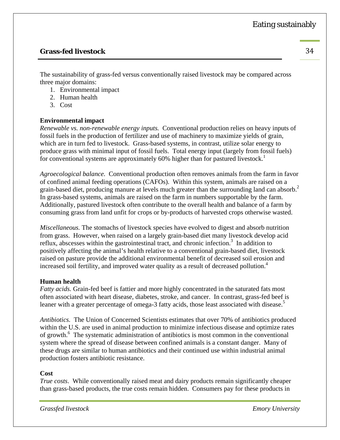#### **Grass-fed livestock** 34

The sustainability of grass-fed versus conventionally raised livestock may be compared across three major domains:

- 1. Environmental impact
- 2. Human health
- 3. Cost

#### **Environmental impact**

*Renewable vs. non-renewable energy inputs.* Conventional production relies on heavy inputs of fossil fuels in the production of fertilizer and use of machinery to maximize yields of grain, which are in turn fed to livestock. Grass-based systems, in contrast, utilize solar energy to produce grass with minimal input of fossil fuels. Total energy input (largely from fossil fuels) for conventional systems are approximately 60% higher than for pastured livestock.<sup>1</sup>

*Agroecological balance.* Conventional production often removes animals from the farm in favor of confined animal feeding operations (CAFOs). Within this system, animals are raised on a grain-based diet, producing manure at levels much greater than the surrounding land can absorb.<sup>2</sup> In grass-based systems, animals are raised on the farm in numbers supportable by the farm. Additionally, pastured livestock often contribute to the overall health and balance of a farm by consuming grass from land unfit for crops or by-products of harvested crops otherwise wasted.

*Miscellaneous.* The stomachs of livestock species have evolved to digest and absorb nutrition from grass. However, when raised on a largely grain-based diet many livestock develop acid reflux, abscesses within the gastrointestinal tract, and chronic infection.<sup>3</sup> In addition to positively affecting the animal's health relative to a conventional grain-based diet, livestock raised on pasture provide the additional environmental benefit of decreased soil erosion and increased soil fertility, and improved water quality as a result of decreased pollution.<sup>4</sup>

#### **Human health**

*Fatty acids.* Grain-fed beef is fattier and more highly concentrated in the saturated fats most often associated with heart disease, diabetes, stroke, and cancer. In contrast, grass-fed beef is leaner with a greater percentage of omega-3 fatty acids, those least associated with disease.<sup>5</sup>

*Antibiotics.* The Union of Concerned Scientists estimates that over 70% of antibiotics produced within the U.S. are used in animal production to minimize infectious disease and optimize rates of growth.<sup>6</sup> The systematic administration of antibiotics is most common in the conventional system where the spread of disease between confined animals is a constant danger. Many of these drugs are similar to human antibiotics and their continued use within industrial animal production fosters antibiotic resistance.

#### **Cost**

*True costs*.While conventionally raised meat and dairy products remain significantly cheaper than grass-based products, the true costs remain hidden. Consumers pay for these products in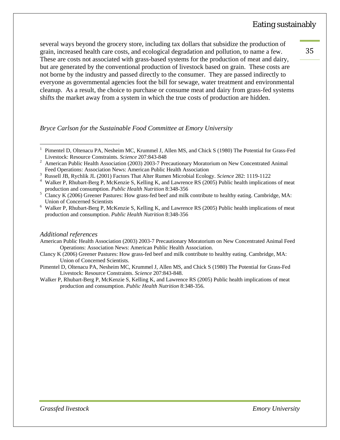several ways beyond the grocery store, including tax dollars that subsidize the production of grain, increased health care costs, and ecological degradation and pollution, to name a few. These are costs not associated with grass-based systems for the production of meat and dairy, but are generated by the conventional production of livestock based on grain. These costs are not borne by the industry and passed directly to the consumer. They are passed indirectly to everyone as governmental agencies foot the bill for sewage, water treatment and environmental cleanup. As a result, the choice to purchase or consume meat and dairy from grass-fed systems shifts the market away from a system in which the true costs of production are hidden.

*Bryce Carlson for the Sustainable Food Committee at Emory University* 

Russell JB, Rychlik JL (2001) Factors That Alter Rumen Microbial Ecology. *Science* 282: 1119-1122 4

#### *Additional references*

 $\overline{a}$ 

- Clancy K (2006) Greener Pastures: How grass-fed beef and milk contribute to healthy eating. Cambridge, MA: Union of Concerned Scientists.
- Pimentel D, Oltenacu PA, Nesheim MC, Krummel J, Allen MS, and Chick S (1980) The Potential for Grass-Fed Livestock: Resource Constraints. *Science* 207:843-848.
- Walker P, Rhubart-Berg P, McKenzie S, Kelling K, and Lawrence RS (2005) Public health implications of meat production and consumption. *Public Health Nutrition* 8:348-356.

35 

*Grassfed livestock Emory University*

<sup>1</sup> Pimentel D, Oltenacu PA, Nesheim MC, Krummel J, Allen MS, and Chick S (1980) The Potential for Grass-Fed Livestock: Resource Constraints. *Science* 207:843-848<br><sup>2</sup> American Public Hoalth Association (2003) 2003-7 Pro

American Public Health Association (2003) 2003-7 Precautionary Moratorium on New Concentrated Animal Feed Operations: Association News: American Public Health Association

Walker P, Rhubart-Berg P, McKenzie S, Kelling K, and Lawrence RS (2005) Public health implications of meat production and consumption. *Public Health Nutrition* 8:348-356<br>5 Clancy K (2006) Greener Pastures: How gress fed beef and milk

Clancy K (2006) Greener Pastures: How grass-fed beef and milk contribute to healthy eating. Cambridge, MA: Union of Concerned Scientists 6

Walker P, Rhubart-Berg P, McKenzie S, Kelling K, and Lawrence RS (2005) Public health implications of meat production and consumption. *Public Health Nutrition* 8:348-356

American Public Health Association (2003) 2003-7 Precautionary Moratorium on New Concentrated Animal Feed Operations: Association News: American Public Health Association.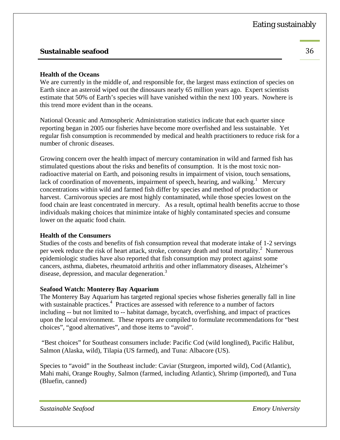### **Sustainable seafood** 36

#### **Health of the Oceans**

We are currently in the middle of, and responsible for, the largest mass extinction of species on Earth since an asteroid wiped out the dinosaurs nearly 65 million years ago. Expert scientists estimate that 50% of Earth's species will have vanished within the next 100 years. Nowhere is this trend more evident than in the oceans.

National Oceanic and Atmospheric Administration statistics indicate that each quarter since reporting began in 2005 our fisheries have become more overfished and less sustainable. Yet regular fish consumption is recommended by medical and health practitioners to reduce risk for a number of chronic diseases.

Growing concern over the health impact of mercury contamination in wild and farmed fish has stimulated questions about the risks and benefits of consumption. It is the most toxic nonradioactive material on Earth, and poisoning results in impairment of vision, touch sensations, lack of coordination of movements, impairment of speech, hearing, and walking.<sup>1</sup> Mercury concentrations within wild and farmed fish differ by species and method of production or harvest. Carnivorous species are most highly contaminated, while those species lowest on the food chain are least concentrated in mercury. As a result, optimal health benefits accrue to those individuals making choices that minimize intake of highly contaminated species and consume lower on the aquatic food chain.

#### **Health of the Consumers**

Studies of the costs and benefits of fish consumption reveal that moderate intake of 1-2 servings per week reduce the risk of heart attack, stroke, coronary death and total mortality. $^2$  Numerous epidemiologic studies have also reported that fish consumption may protect against some cancers, asthma, diabetes, rheumatoid arthritis and other inflammatory diseases, Alzheimer's disease, depression, and macular degeneration.<sup>3</sup>

#### **Seafood Watch: Monterey Bay Aquarium**

The Monterey Bay Aquarium has targeted regional species whose fisheries generally fall in line with sustainable practices.<sup>4</sup> Practices are assessed with reference to a number of factors including -- but not limited to -- habitat damage, bycatch, overfishing, and impact of practices upon the local environment. These reports are compiled to formulate recommendations for "best choices", "good alternatives", and those items to "avoid".

 "Best choices" for Southeast consumers include: Pacific Cod (wild longlined), Pacific Halibut, Salmon (Alaska, wild), Tilapia (US farmed), and Tuna: Albacore (US).

Species to "avoid" in the Southeast include: Caviar (Sturgeon, imported wild), Cod (Atlantic), Mahi mahi, Orange Roughy, Salmon (farmed, including Atlantic), Shrimp (imported), and Tuna (Bluefin, canned)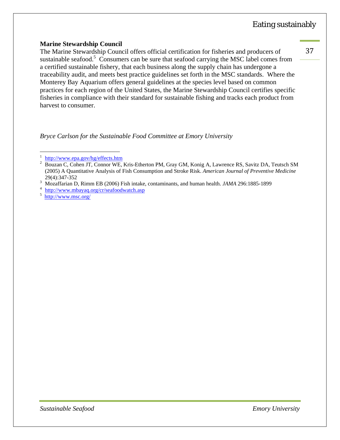#### **Marine Stewardship Council**

The Marine Stewardship Council offers official certification for fisheries and producers of sustainable seafood.<sup>5</sup> Consumers can be sure that seafood carrying the MSC label comes from a certified sustainable fishery, that each business along the supply chain has undergone a traceability audit, and meets best practice guidelines set forth in the MSC standards. Where the Monterey Bay Aquarium offers general guidelines at the species level based on common practices for each region of the United States, the Marine Stewardship Council certifies specific fisheries in compliance with their standard for sustainable fishing and tracks each product from harvest to consumer.

*Bryce Carlson for the Sustainable Food Committee at Emory University* 

<sup>4</sup> http://www.mbayaq.org/cr/seafoodwatch.asp

5 http://www.msc.org/

 $\overline{a}$ 

<sup>1</sup>  $\frac{1}{2}$  http://www.epa.gov/hg/effects.htm

Bouzan C, Cohen JT, Connor WE, Kris-Etherton PM, Gray GM, Konig A, Lawrence RS, Savitz DA, Teutsch SM (2005) A Quantitative Analysis of Fish Consumption and Stroke Risk. *American Journal of Preventive Medicine*  $^{29(4):347-352}$ 

<sup>&</sup>lt;sup>3</sup> Mozaffarian D, Rimm EB (2006) Fish intake, contaminants, and human health. *JAMA* 296:1885-1899  $\frac{4 \text{ bits}}{4 \cdot \text{ bits}}$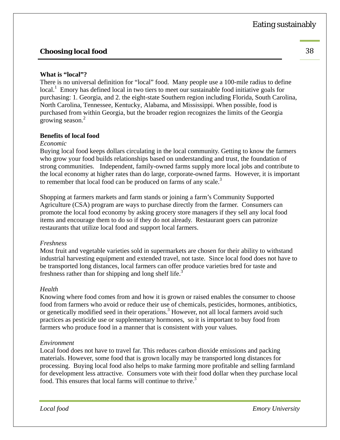# **Choosing local food** 38

#### **What is "local"?**

There is no universal definition for "local" food. Many people use a 100-mile radius to define local.<sup>1</sup> Emory has defined local in two tiers to meet our sustainable food initiative goals for purchasing: 1. Georgia, and 2. the eight-state Southern region including Florida, South Carolina, North Carolina, Tennessee, Kentucky, Alabama, and Mississippi. When possible, food is purchased from within Georgia, but the broader region recognizes the limits of the Georgia erowing season.<sup>2</sup>

#### **Benefits of local food**

#### *Economic*

Buying local food keeps dollars circulating in the local community. Getting to know the farmers who grow your food builds relationships based on understanding and trust, the foundation of strong communities. Independent, family-owned farms supply more local jobs and contribute to the local economy at higher rates than do large, corporate-owned farms. However, it is important to remember that local food can be produced on farms of any scale.<sup>3</sup>

Shopping at farmers markets and farm stands or joining a farm's Community Supported Agriculture (CSA) program are ways to purchase directly from the farmer. Consumers can promote the local food economy by asking grocery store managers if they sell any local food items and encourage them to do so if they do not already. Restaurant goers can patronize restaurants that utilize local food and support local farmers.

#### *Freshness*

Most fruit and vegetable varieties sold in supermarkets are chosen for their ability to withstand industrial harvesting equipment and extended travel, not taste. Since local food does not have to be transported long distances, local farmers can offer produce varieties bred for taste and freshness rather than for shipping and long shelf life.<sup>3</sup>

#### *Health*

Knowing where food comes from and how it is grown or raised enables the consumer to choose food from farmers who avoid or reduce their use of chemicals, pesticides, hormones, antibiotics, or genetically modified seed in their operations.<sup>3</sup> However, not all local farmers avoid such practices as pesticide use or supplementary hormones, so it is important to buy food from farmers who produce food in a manner that is consistent with your values.

#### *Environment*

Local food does not have to travel far. This reduces carbon dioxide emissions and packing materials. However, some food that is grown locally may be transported long distances for processing. Buying local food also helps to make farming more profitable and selling farmland for development less attractive. Consumers vote with their food dollar when they purchase local food. This ensures that local farms will continue to thrive.<sup>3</sup>

*Local food Emory University*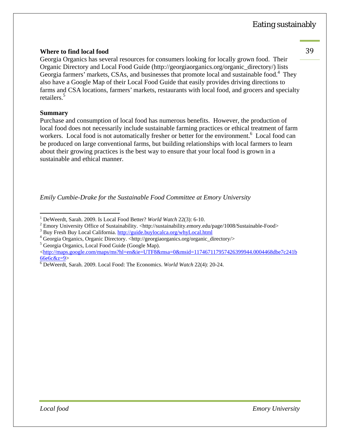#### **Where to find local food** 39

Georgia Organics has several resources for consumers looking for locally grown food. Their Organic Directory and Local Food Guide (http://georgiaorganics.org/organic\_directory/) lists Georgia farmers' markets, CSAs, and businesses that promote local and sustainable food.<sup>4</sup> They also have a Google Map of their Local Food Guide that easily provides driving directions to farms and CSA locations, farmers' markets, restaurants with local food, and grocers and specialty retailers.<sup>5</sup>

#### **Summary**

Purchase and consumption of local food has numerous benefits. However, the production of local food does not necessarily include sustainable farming practices or ethical treatment of farm workers. Local food is not automatically fresher or better for the environment.<sup>6</sup> Local food can be produced on large conventional farms, but building relationships with local farmers to learn about their growing practices is the best way to ensure that your local food is grown in a sustainable and ethical manner.

*Emily Cumbie-Drake for the Sustainable Food Committee at Emory University* 

<sup>5</sup> Georgia Organics, Local Food Guide (Google Map).

 $\overline{a}$ <sup>1</sup> DeWeerdt, Sarah. 2009. Is Local Food Better? *World Watch* 22(3): 6-10.

<sup>&</sup>lt;sup>2</sup> Emory University Office of Sustainability. <http://sustainability.emory.edu/page/1008/Sustainable-Food>

<sup>&</sup>lt;sup>3</sup> Buy Fresh Buy Local California. http://guide.buylocalca.org/whyLocal.html

<sup>&</sup>lt;sup>4</sup> Georgia Organics, Organic Directory. <http://georgiaorganics.org/organic\_directory/>

<sup>&</sup>lt;http://maps.google.com/maps/ms?hl=en&ie=UTF8&msa=0&msid=117467117957426399944.0004468dbe7c241b  $666c&7=9$ 

DeWeerdt, Sarah. 2009. Local Food: The Economics. *World Watch* 22(4): 20-24.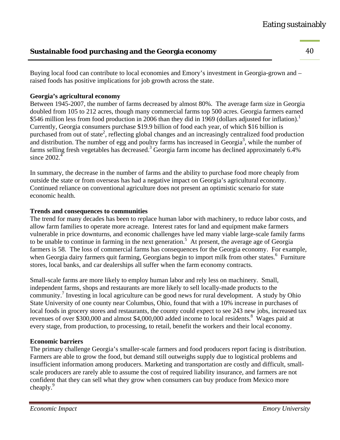# **Sustainable food purchasing and the Georgia economy** 40

Buying local food can contribute to local economies and Emory's investment in Georgia-grown and – raised foods has positive implications for job growth across the state.

#### **Georgia's agricultural economy**

Between 1945-2007, the number of farms decreased by almost 80%. The average farm size in Georgia doubled from 105 to 212 acres, though many commercial farms top 500 acres. Georgia farmers earned \$546 million less from food production in 2006 than they did in 1969 (dollars adjusted for inflation).<sup>1</sup> Currently, Georgia consumers purchase \$19.9 billion of food each year, of which \$16 billion is purchased from out of state<sup>2</sup>, reflecting global changes and an increasingly centralized food production and distribution. The number of egg and poultry farms has increased in  $Ge^{3}$ , while the number of farms selling fresh vegetables has decreased.<sup>3</sup> Georgia farm income has declined approximately 6.4% since  $2002<sup>4</sup>$ 

In summary, the decrease in the number of farms and the ability to purchase food more cheaply from outside the state or from overseas has had a negative impact on Georgia's agricultural economy. Continued reliance on conventional agriculture does not present an optimistic scenario for state economic health.

#### **Trends and consequences to communities**

The trend for many decades has been to replace human labor with machinery, to reduce labor costs, and allow farm families to operate more acreage. Interest rates for land and equipment make farmers vulnerable in price downturns, and economic challenges have led many viable large-scale family farms to be unable to continue in farming in the next generation.<sup>5</sup> At present, the average age of Georgia farmers is 58. The loss of commercial farms has consequences for the Georgia economy. For example, when Georgia dairy farmers quit farming, Georgians begin to import milk from other states.<sup>6</sup> Furniture stores, local banks, and car dealerships all suffer when the farm economy contracts.

Small-scale farms are more likely to employ human labor and rely less on machinery. Small, independent farms, shops and restaurants are more likely to sell locally-made products to the community.<sup>7</sup> Investing in local agriculture can be good news for rural development. A study by Ohio State University of one county near Columbus, Ohio, found that with a 10% increase in purchases of local foods in grocery stores and restaurants, the county could expect to see 243 new jobs, increased tax revenues of over \$300,000 and almost \$4,000,000 added income to local residents.<sup>8</sup> Wages paid at every stage, from production, to processing, to retail, benefit the workers and their local economy.

#### **Economic barriers**

The primary challenge Georgia's smaller-scale farmers and food producers report facing is distribution. Farmers are able to grow the food, but demand still outweighs supply due to logistical problems and insufficient information among producers. Marketing and transportation are costly and difficult, smallscale producers are rarely able to assume the cost of required liability insurance, and farmers are not confident that they can sell what they grow when consumers can buy produce from Mexico more cheaply.<sup>9</sup>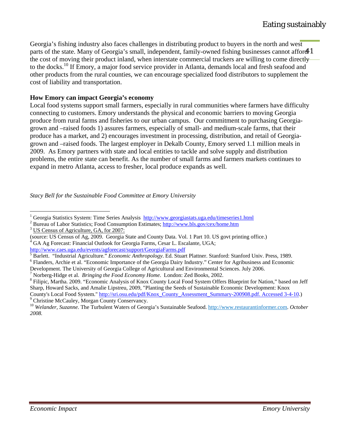parts of the state. Many of Georgia's small, independent, family-owned fishing businesses cannot afford 1 Georgia's fishing industry also faces challenges in distributing product to buyers in the north and west the cost of moving their product inland, when interstate commercial truckers are willing to come directly to the docks.<sup>10</sup> If Emory, a major food service provider in Atlanta, demands local and fresh seafood and other products from the rural counties, we can encourage specialized food distributors to supplement the cost of liability and transportation.

#### **How Emory can impact Georgia's economy**

Local food systems support small farmers, especially in rural communities where farmers have difficulty connecting to customers. Emory understands the physical and economic barriers to moving Georgia produce from rural farms and fisheries to our urban campus. Our commitment to purchasing Georgiagrown and –raised foods 1) assures farmers, especially of small- and medium-scale farms, that their produce has a market, and 2) encourages investment in processing, distribution, and retail of Georgiagrown and –raised foods. The largest employer in Dekalb County, Emory served 1.1 million meals in 2009. As Emory partners with state and local entities to tackle and solve supply and distribution problems, the entire state can benefit. As the number of small farms and farmers markets continues to expand in metro Atlanta, access to fresher, local produce expands as well.

*Stacy Bell for the Sustainable Food Committee at Emory University* 

<sup>3</sup> US Census of Agriculture, GA, for 2007:

Flanders, Archie et al. "Economic Importance of the Georgia Dairy Industry." Center for Agribusiness and Economic

Development. The University of Georgia College of Agricultural and Environmental Sciences. July 2006.

<sup>&</sup>lt;sup>1</sup> Georgia Statistics System: Time Series Analysis http://www.georgiastats.uga.edu/timeseries1.html<br><sup>2</sup> Burgeu of Labor Statistics: Eood Consumption Estimates: http://www.bls.gov/gov/home.html

<sup>&</sup>lt;sup>2</sup> Bureau of Labor Statistics; Food Consumption Estimates; http://www.bls.gov/cex/home.htm

<sup>(</sup>source: US Census of Ag, 2009. Georgia State and County Data. Vol. 1 Part 10. US govt printing office.) 4 GA Ag Forecast: Financial Outlook for Georgia Farms, Cesar L. Escalante, UGA; http://www.caes.uga.edu/events/agforecast/support/GeorgiaFarms.pdf <sup>5</sup>

Barlett. "Industrial Agriculture." *Economic Anthropology*. Ed. Stuart Plattner. Stanford: Stanford Univ. Press, 1989. 6

Norberg-Hidge et al. *Bringing the Food Economy Home*. London: Zed Books, 2002. 8

Filipic, Martha. 2009. "Economic Analysis of Knox County Local Food System Offers Blueprint for Nation," based on Jeff Sharp, Howard Sacks, and Amalie Lipstreu, 2009, "Planting the Seeds of Sustainable Economic Development: Knox County's Local Food System." http://sri.osu.edu/pdf/Knox\_County\_Assessment\_Summary-200908.pdf. Accessed 3-4-10.) 9 <sup>9</sup> Christine McCauley, Morgan County Conservancy.

<sup>10</sup> *Welander, Suzanne.* The Turbulent Waters of Georgia's Sustainable Seafood. http://www.restaurantinformer.com. *October 2008.*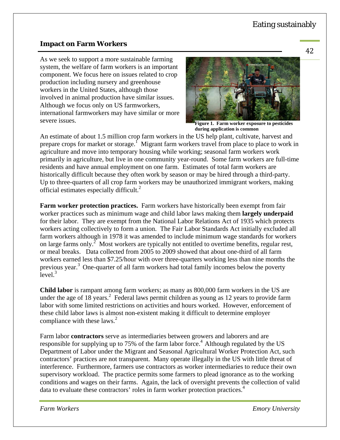#### **Impact on Farm Workers**

As we seek to support a more sustainable farming system, the welfare of farm workers is an important component. We focus here on issues related to crop production including nursery and greenhouse workers in the United States, although those involved in animal production have similar issues. Although we focus only on US farmworkers, international farmworkers may have similar or more severe issues.



**Figure 1. Farm worker exposure to pesticides during application is common**

An estimate of about 1.5 million crop farm workers in the US help plant, cultivate, harvest and prepare crops for market or storage.<sup> $\int$ </sup> Migrant farm workers travel from place to place to work in agriculture and move into temporary housing while working; seasonal farm workers work primarily in agriculture, but live in one community year-round. Some farm workers are full-time residents and have annual employment on one farm. Estimates of total farm workers are historically difficult because they often work by season or may be hired through a third-party. Up to three-quarters of all crop farm workers may be unauthorized immigrant workers, making official estimates especially difficult.<sup>2</sup>

**Farm worker protection practices.** Farm workers have historically been exempt from fair worker practices such as minimum wage and child labor laws making them **largely underpaid** for their labor. They are exempt from the National Labor Relations Act of 1935 which protects workers acting collectively to form a union. The Fair Labor Standards Act initially excluded all farm workers although in 1978 it was amended to include minimum wage standards for workers on large farms only.<sup>2</sup> Most workers are typically not entitled to overtime benefits, regular rest, or meal breaks. Data collected from 2005 to 2009 showed that about one-third of all farm workers earned less than \$7.25/hour with over three-quarters working less than nine months the previous year.<sup>3</sup> One-quarter of all farm workers had total family incomes below the poverty  $level.<sup>3</sup>$ 

**Child labor** is rampant among farm workers; as many as 800,000 farm workers in the US are under the age of 18 years.<sup>2</sup> Federal laws permit children as young as 12 years to provide farm labor with some limited restrictions on activities and hours worked. However, enforcement of these child labor laws is almost non-existent making it difficult to determine employer compliance with these laws. $2$ 

Farm labor **contractors** serve as intermediaries between growers and laborers and are responsible for supplying up to 75% of the farm labor force.<sup>4</sup> Although regulated by the US Department of Labor under the Migrant and Seasonal Agricultural Worker Protection Act, such contractors' practices are not transparent. Many operate illegally in the US with little threat of interference. Furthermore, farmers use contractors as worker intermediaries to reduce their own supervisory workload. The practice permits some farmers to plead ignorance as to the working conditions and wages on their farms. Again, the lack of oversight prevents the collection of valid data to evaluate these contractors' roles in farm worker protection practices.<sup>4</sup>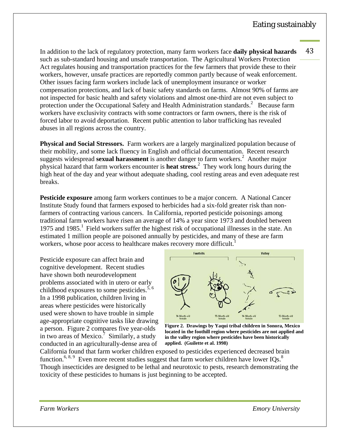In addition to the lack of regulatory protection, many farm workers face **daily physical hazards** 43 such as sub-standard housing and unsafe transportation. The Agricultural Workers Protection Act regulates housing and transportation practices for the few farmers that provide these to their workers, however, unsafe practices are reportedly common partly because of weak enforcement. Other issues facing farm workers include lack of unemployment insurance or worker compensation protections, and lack of basic safety standards on farms. Almost 90% of farms are not inspected for basic health and safety violations and almost one-third are not even subject to protection under the Occupational Safety and Health Administration standards.<sup>2</sup> Because farm workers have exclusivity contracts with some contractors or farm owners, there is the risk of forced labor to avoid deportation. Recent public attention to labor trafficking has revealed abuses in all regions across the country.

**Physical and Social Stressors.** Farm workers are a largely marginalized population because of their mobility, and some lack fluency in English and official documentation. Recent research suggests widespread sexual harassment is another danger to farm workers.<sup>2</sup> Another major physical hazard that farm workers encounter is **heat stress.**<sup>2</sup> They work long hours during the high heat of the day and year without adequate shading, cool resting areas and even adequate rest breaks.

**Pesticide exposure** among farm workers continues to be a major concern. A National Cancer Institute Study found that farmers exposed to herbicides had a six-fold greater risk than nonfarmers of contracting various cancers. In California, reported pesticide poisonings among traditional farm workers have risen an average of 14% a year since 1973 and doubled between 1975 and 1985.<sup>1</sup> Field workers suffer the highest risk of occupational illnesses in the state. An estimated 1 million people are poisoned annually by pesticides, and many of these are farm workers, whose poor access to healthcare makes recovery more difficult.<sup>1</sup>

Pesticide exposure can affect brain and cognitive development. Recent studies have shown both neurodevelopment problems associated with in utero or early childhood exposures to some pesticides.<sup>5, 6</sup> In a 1998 publication, children living in areas where pesticides were historically used were shown to have trouble in simple age-appropriate cognitive tasks like drawing a person. Figure 2 compares five year-olds in two areas of Mexico.<sup>7</sup> Similarly, a study conducted in an agriculturally-dense area of



**Figure 2. Drawings by Yaqui tribal children in Sonora, Mexico located in the foothill region where pesticides are not applied and in the valley region where pesticides have been historically applied. (Guilette et al. 1998)** 

California found that farm worker children exposed to pesticides experienced decreased brain function.<sup>6, 8, 9</sup> Even more recent studies suggest that farm worker children have lower IQs.<sup>8</sup> Though insecticides are designed to be lethal and neurotoxic to pests, research demonstrating the toxicity of these pesticides to humans is just beginning to be accepted.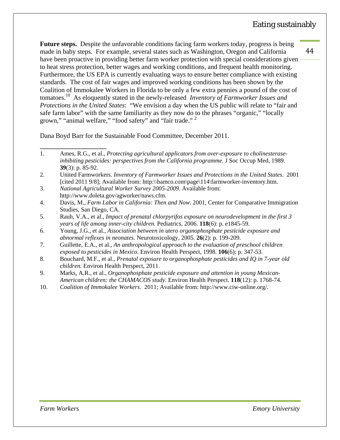**Future steps.** Despite the unfavorable conditions facing farm workers today, progress is being made in baby steps. For example, several states such as Washington, Oregon and California have been proactive in providing better farm worker protection with special considerations given to heat stress protection, better wages and working conditions, and frequent health monitoring. Furthermore, the US EPA is currently evaluating ways to ensure better compliance with existing standards. The cost of fair wages and improved working conditions has been shown by the Coalition of Immokalee Workers in Florida to be only a few extra pennies a pound of the cost of tomatoes.10 As eloquently stated in the newly-released *Inventory of Farmworker Issues and Protections in the United States*: "We envision a day when the US public will relate to "fair and safe farm labor" with the same familiarity as they now do to the phrases "organic," "locally grown," "animal welfare," "food safety" and "fair trade." <sup>2</sup>

Dana Boyd Barr for the Sustainable Food Committee, December 2011.

- 4. Davis, M., *Farm Labor in California: Then and Now*. 2001, Center for Comparative Immigration Studies, San Diego, CA.
- 5. Rauh, V.A., et al., *Impact of prenatal chlorpyrifos exposure on neurodevelopment in the first 3 years of life among inner-city children.* Pediatrics, 2006. **118**(6): p. e1845-59.
- 6. Young, J.G., et al., *Association between in utero organophosphate pesticide exposure and abnormal reflexes in neonates.* Neurotoxicology, 2005. **26**(2): p. 199-209.
- 7. Guillette, E.A., et al., *An anthropological approach to the evaluation of preschool children exposed to pesticides in Mexico.* Environ Health Perspect, 1998. **106**(6): p. 347-53.
- 8. Bouchard, M.F., et al., *Prenatal exposure to organophosphate pesticides and IQ in 7-year old children.* Environ Health Perspect, 2011.
- 9. Marks, A.R., et al., *Organophosphate pesticide exposure and attention in young Mexican-American children: the CHAMACOS study.* Environ Health Perspect. **118**(12): p. 1768-74.
- 10. *Coalition of Immokalee Workers*. 2011; Available from: http://www.ciw-online.org/.

\_\_\_\_\_\_\_\_\_\_\_\_\_\_\_ 1. Ames, R.G., et al., *Protecting agricultural applicators from over-exposure to cholinesteraseinhibiting pesticides: perspectives from the California programme.* J Soc Occup Med, 1989. **39**(3): p. 85-92.

<sup>2.</sup> United Farmworkers. *Inventory of Farmworker Issues and Protections in the United States*. 2001 [cited 2011 9/8]; Available from: http:\\bamco.com\page\114\farmworker-inventory.htm.

<sup>3.</sup> *National Agricultural Worker Survey 2005-2009*. Available from: http://www.doleta.gov/agworker/naws.cfm.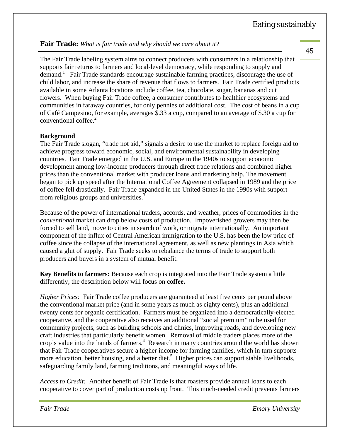**Fair Trade:** *What is fair trade and why should we care about it?*

The Fair Trade labeling system aims to connect producers with consumers in a relationship that supports fair returns to farmers and local-level democracy, while responding to supply and demand.<sup>1</sup> Fair Trade standards encourage sustainable farming practices, discourage the use of child labor, and increase the share of revenue that flows to farmers. Fair Trade certified products available in some Atlanta locations include coffee, tea, chocolate, sugar, bananas and cut flowers. When buying Fair Trade coffee, a consumer contributes to healthier ecosystems and communities in faraway countries, for only pennies of additional cost. The cost of beans in a cup of Café Campesino, for example, averages \$.33 a cup, compared to an average of \$.30 a cup for conventional coffee.<sup>2</sup>

#### **Background**

The Fair Trade slogan, "trade not aid," signals a desire to use the market to replace foreign aid to achieve progress toward economic, social, and environmental sustainability in developing countries. Fair Trade emerged in the U.S. and Europe in the 1940s to support economic development among low-income producers through direct trade relations and combined higher prices than the conventional market with producer loans and marketing help. The movement began to pick up speed after the International Coffee Agreement collapsed in 1989 and the price of coffee fell drastically. Fair Trade expanded in the United States in the 1990s with support from religious groups and universities.<sup>3</sup>

Because of the power of international traders, accords, and weather, prices of commodities in the *conventional* market can drop below costs of production. Impoverished growers may then be forced to sell land, move to cities in search of work, or migrate internationally. An important component of the influx of Central American immigration to the U.S. has been the low price of coffee since the collapse of the international agreement, as well as new plantings in Asia which caused a glut of supply. Fair Trade seeks to rebalance the terms of trade to support both producers and buyers in a system of mutual benefit.

**Key Benefits to farmers:** Because each crop is integrated into the Fair Trade system a little differently, the description below will focus on **coffee.**

*Higher Prices:* Fair Trade coffee producers are guaranteed at least five cents per pound above the conventional market price (and in some years as much as eighty cents), plus an additional twenty cents for organic certification. Farmers must be organized into a democratically-elected cooperative, and the cooperative also receives an additional "social premium" to be used for community projects, such as building schools and clinics, improving roads, and developing new craft industries that particularly benefit women. Removal of middle traders places more of the crop's value into the hands of farmers.<sup>4</sup> Research in many countries around the world has shown that Fair Trade cooperatives secure a higher income for farming families, which in turn supports more education, better housing, and a better diet.<sup>5</sup> Higher prices can support stable livelihoods, safeguarding family land, farming traditions, and meaningful ways of life.

*Access to Credit:*Another benefit of Fair Trade is that roasters provide annual loans to each cooperative to cover part of production costs up front. This much-needed credit prevents farmers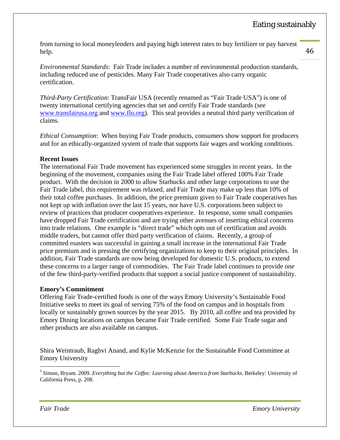46 

from turning to local moneylenders and paying high interest rates to buy fertilizer or pay harvest help.

*Environmental Standards*: Fair Trade includes a number of environmental production standards, including reduced use of pesticides. Many Fair Trade cooperatives also carry organic certification.

*Third-Party Certification*: TransFair USA (recently renamed as "Fair Trade USA") is one of twenty international certifying agencies that set and certify Fair Trade standards (see www.transfairusa.org and www.flo.org). This seal provides a neutral third party verification of claims.

*Ethical Consumption*: When buying Fair Trade products, consumers show support for producers and for an ethically-organized system of trade that supports fair wages and working conditions.

#### **Recent Issues**

The international Fair Trade movement has experienced some struggles in recent years. In the beginning of the movement, companies using the Fair Trade label offered 100% Fair Trade product. With the decision in 2000 to allow Starbucks and other large corporations to use the Fair Trade label, this requirement was relaxed, and Fair Trade may make up less than 10% of their total coffee purchases. In addition, the price premium given to Fair Trade cooperatives has not kept up with inflation over the last 15 years, nor have U.S. corporations been subject to review of practices that producer cooperatives experience. In response, some small companies have dropped Fair Trade certification and are trying other avenues of inserting ethical concerns into trade relations. One example is "direct trade" which opts out of certification and avoids middle traders, but cannot offer third party verification of claims. Recently, a group of committed roasters was successful in gaining a small increase in the international Fair Trade price premium and is pressing the certifying organizations to keep to their original principles. In addition, Fair Trade standards are now being developed for domestic U.S. products, to extend these concerns to a larger range of commodities. The Fair Trade label continues to provide one of the few third-party-verified products that support a social justice component of sustainability.

#### **Emory's Commitment**

Offering Fair Trade-certified foods is one of the ways Emory University's Sustainable Food Initiative seeks to meet its goal of serving 75% of the food on campus and in hospitals from locally or sustainably grown sources by the year 2015. By 2010, all coffee and tea provided by Emory Dining locations on campus became Fair Trade certified. Some Fair Trade sugar and other products are also available on campus.

Shira Weintraub, Raghvi Anand, and Kylie McKenzie for the Sustainable Food Committee at Emory University

<sup>1</sup> Simon, Bryant. 2009. *Everything but the Coffee: Learning about America from Starbucks*. Berkeley: University of California Press, p. 208.

 $\overline{a}$ 

*Fair Trade Emory University*